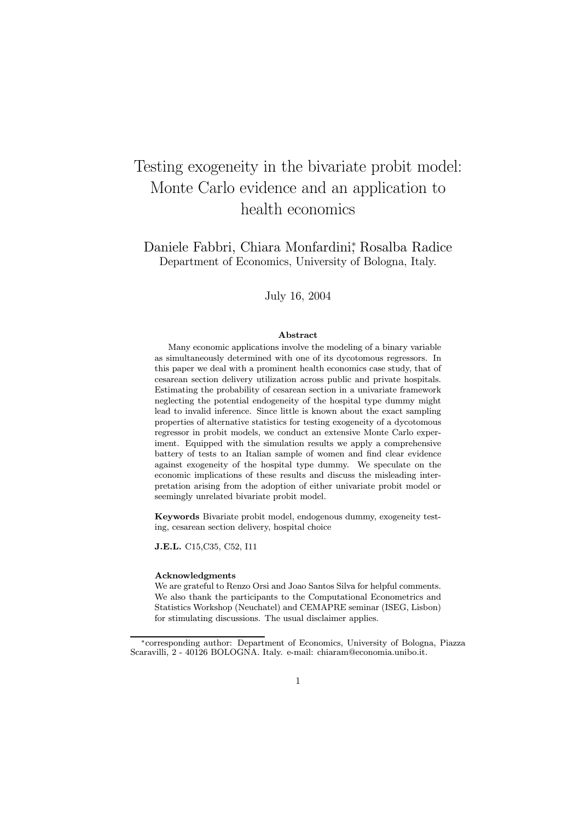# Testing exogeneity in the bivariate probit model: Monte Carlo evidence and an application to health economics

Daniele Fabbri, Chiara Monfardini<sup>∗</sup> , Rosalba Radice Department of Economics, University of Bologna, Italy.

July 16, 2004

#### Abstract

Many economic applications involve the modeling of a binary variable as simultaneously determined with one of its dycotomous regressors. In this paper we deal with a prominent health economics case study, that of cesarean section delivery utilization across public and private hospitals. Estimating the probability of cesarean section in a univariate framework neglecting the potential endogeneity of the hospital type dummy might lead to invalid inference. Since little is known about the exact sampling properties of alternative statistics for testing exogeneity of a dycotomous regressor in probit models, we conduct an extensive Monte Carlo experiment. Equipped with the simulation results we apply a comprehensive battery of tests to an Italian sample of women and find clear evidence against exogeneity of the hospital type dummy. We speculate on the economic implications of these results and discuss the misleading interpretation arising from the adoption of either univariate probit model or seemingly unrelated bivariate probit model.

Keywords Bivariate probit model, endogenous dummy, exogeneity testing, cesarean section delivery, hospital choice

J.E.L. C15,C35, C52, I11

#### Acknowledgments

We are grateful to Renzo Orsi and Joao Santos Silva for helpful comments. We also thank the participants to the Computational Econometrics and Statistics Workshop (Neuchatel) and CEMAPRE seminar (ISEG, Lisbon) for stimulating discussions. The usual disclaimer applies.

<sup>∗</sup>corresponding author: Department of Economics, University of Bologna, Piazza Scaravilli, 2 - 40126 BOLOGNA. Italy. e-mail: chiaram@economia.unibo.it.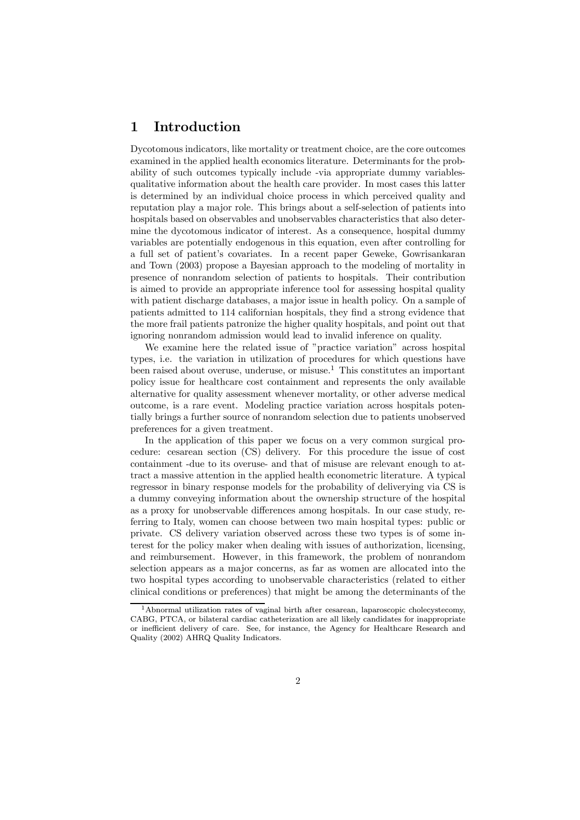### 1 Introduction

Dycotomous indicators, like mortality or treatment choice, are the core outcomes examined in the applied health economics literature. Determinants for the probability of such outcomes typically include -via appropriate dummy variablesqualitative information about the health care provider. In most cases this latter is determined by an individual choice process in which perceived quality and reputation play a major role. This brings about a self-selection of patients into hospitals based on observables and unobservables characteristics that also determine the dycotomous indicator of interest. As a consequence, hospital dummy variables are potentially endogenous in this equation, even after controlling for a full set of patient's covariates. In a recent paper Geweke, Gowrisankaran and Town (2003) propose a Bayesian approach to the modeling of mortality in presence of nonrandom selection of patients to hospitals. Their contribution is aimed to provide an appropriate inference tool for assessing hospital quality with patient discharge databases, a major issue in health policy. On a sample of patients admitted to 114 californian hospitals, they find a strong evidence that the more frail patients patronize the higher quality hospitals, and point out that ignoring nonrandom admission would lead to invalid inference on quality.

We examine here the related issue of "practice variation" across hospital types, i.e. the variation in utilization of procedures for which questions have been raised about overuse, underuse, or misuse. $1$  This constitutes an important policy issue for healthcare cost containment and represents the only available alternative for quality assessment whenever mortality, or other adverse medical outcome, is a rare event. Modeling practice variation across hospitals potentially brings a further source of nonrandom selection due to patients unobserved preferences for a given treatment.

In the application of this paper we focus on a very common surgical procedure: cesarean section (CS) delivery. For this procedure the issue of cost containment -due to its overuse- and that of misuse are relevant enough to attract a massive attention in the applied health econometric literature. A typical regressor in binary response models for the probability of deliverying via CS is a dummy conveying information about the ownership structure of the hospital as a proxy for unobservable differences among hospitals. In our case study, referring to Italy, women can choose between two main hospital types: public or private. CS delivery variation observed across these two types is of some interest for the policy maker when dealing with issues of authorization, licensing, and reimbursement. However, in this framework, the problem of nonrandom selection appears as a major concerns, as far as women are allocated into the two hospital types according to unobservable characteristics (related to either clinical conditions or preferences) that might be among the determinants of the

<sup>&</sup>lt;sup>1</sup> Abnormal utilization rates of vaginal birth after cesarean, laparoscopic cholecystecomy, CABG, PTCA, or bilateral cardiac catheterization are all likely candidates for inappropriate or inefficient delivery of care. See, for instance, the Agency for Healthcare Research and Quality (2002) AHRQ Quality Indicators.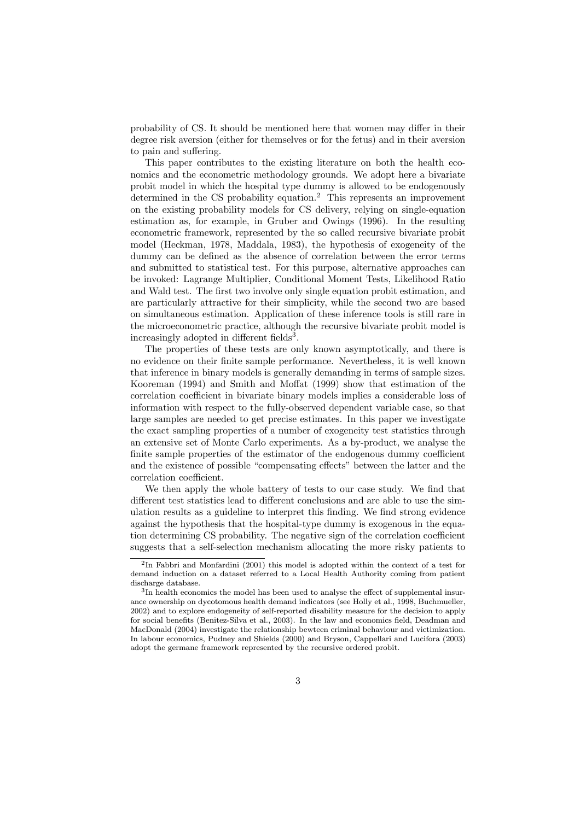probability of CS. It should be mentioned here that women may differ in their degree risk aversion (either for themselves or for the fetus) and in their aversion to pain and suffering.

This paper contributes to the existing literature on both the health economics and the econometric methodology grounds. We adopt here a bivariate probit model in which the hospital type dummy is allowed to be endogenously determined in the CS probability equation.<sup>2</sup> This represents an improvement on the existing probability models for CS delivery, relying on single-equation estimation as, for example, in Gruber and Owings (1996). In the resulting econometric framework, represented by the so called recursive bivariate probit model (Heckman, 1978, Maddala, 1983), the hypothesis of exogeneity of the dummy can be defined as the absence of correlation between the error terms and submitted to statistical test. For this purpose, alternative approaches can be invoked: Lagrange Multiplier, Conditional Moment Tests, Likelihood Ratio and Wald test. The first two involve only single equation probit estimation, and are particularly attractive for their simplicity, while the second two are based on simultaneous estimation. Application of these inference tools is still rare in the microeconometric practice, although the recursive bivariate probit model is increasingly adopted in different fields<sup>3</sup>.

The properties of these tests are only known asymptotically, and there is no evidence on their finite sample performance. Nevertheless, it is well known that inference in binary models is generally demanding in terms of sample sizes. Kooreman (1994) and Smith and Moffat (1999) show that estimation of the correlation coefficient in bivariate binary models implies a considerable loss of information with respect to the fully-observed dependent variable case, so that large samples are needed to get precise estimates. In this paper we investigate the exact sampling properties of a number of exogeneity test statistics through an extensive set of Monte Carlo experiments. As a by-product, we analyse the finite sample properties of the estimator of the endogenous dummy coefficient and the existence of possible "compensating effects" between the latter and the correlation coefficient.

We then apply the whole battery of tests to our case study. We find that different test statistics lead to different conclusions and are able to use the simulation results as a guideline to interpret this finding. We find strong evidence against the hypothesis that the hospital-type dummy is exogenous in the equation determining CS probability. The negative sign of the correlation coefficient suggests that a self-selection mechanism allocating the more risky patients to

 $2$ In Fabbri and Monfardini (2001) this model is adopted within the context of a test for demand induction on a dataset referred to a Local Health Authority coming from patient discharge database.

<sup>3</sup>In health economics the model has been used to analyse the effect of supplemental insurance ownership on dycotomous health demand indicators (see Holly et al., 1998, Buchmueller, 2002) and to explore endogeneity of self-reported disability measure for the decision to apply for social benefits (Benitez-Silva et al., 2003). In the law and economics field, Deadman and MacDonald (2004) investigate the relationship bewteen criminal behaviour and victimization. In labour economics, Pudney and Shields (2000) and Bryson, Cappellari and Lucifora (2003) adopt the germane framework represented by the recursive ordered probit.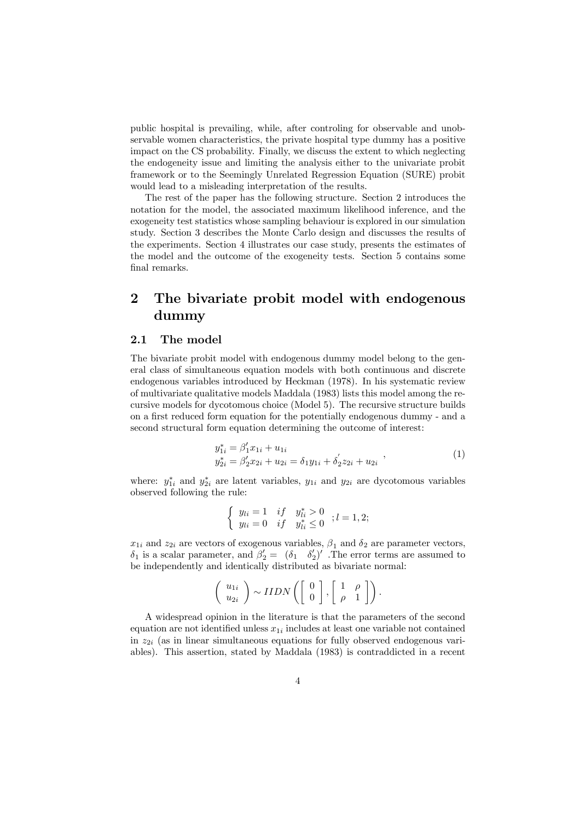public hospital is prevailing, while, after controling for observable and unobservable women characteristics, the private hospital type dummy has a positive impact on the CS probability. Finally, we discuss the extent to which neglecting the endogeneity issue and limiting the analysis either to the univariate probit framework or to the Seemingly Unrelated Regression Equation (SURE) probit would lead to a misleading interpretation of the results.

The rest of the paper has the following structure. Section 2 introduces the notation for the model, the associated maximum likelihood inference, and the exogeneity test statistics whose sampling behaviour is explored in our simulation study. Section 3 describes the Monte Carlo design and discusses the results of the experiments. Section 4 illustrates our case study, presents the estimates of the model and the outcome of the exogeneity tests. Section 5 contains some final remarks.

### 2 The bivariate probit model with endogenous dummy

#### 2.1 The model

The bivariate probit model with endogenous dummy model belong to the general class of simultaneous equation models with both continuous and discrete endogenous variables introduced by Heckman (1978). In his systematic review of multivariate qualitative models Maddala (1983) lists this model among the recursive models for dycotomous choice (Model 5). The recursive structure builds on a first reduced form equation for the potentially endogenous dummy - and a second structural form equation determining the outcome of interest:

$$
y_{1i}^* = \beta_1' x_{1i} + u_{1i}
$$
  
\n
$$
y_{2i}^* = \beta_2' x_{2i} + u_{2i} = \delta_1 y_{1i} + \delta_2' z_{2i} + u_{2i}
$$
\n(1)

where:  $y_{1i}^*$  and  $y_{2i}^*$  are latent variables,  $y_{1i}$  and  $y_{2i}$  are dycotomous variables observed following the rule:

$$
\begin{cases} y_{li} = 1 & if \quad y_{li}^* > 0 \\ y_{li} = 0 & if \quad y_{li}^* \le 0 \end{cases}; l = 1, 2;
$$

 $x_{1i}$  and  $z_{2i}$  are vectors of exogenous variables,  $\beta_1$  and  $\delta_2$  are parameter vectors,  $\delta_1$  is a scalar parameter, and  $\beta_2' = (\delta_1 \quad \delta_2')'$ . The error terms are assumed to be independently and identically distributed as bivariate normal:

$$
\left(\begin{array}{c} u_{1i} \\ u_{2i} \end{array}\right) \sim IIDN\left(\left[\begin{array}{c} 0 \\ 0 \end{array}\right], \left[\begin{array}{cc} 1 & \rho \\ \rho & 1 \end{array}\right]\right).
$$

A widespread opinion in the literature is that the parameters of the second equation are not identified unless  $x_{1i}$  includes at least one variable not contained in  $z_{2i}$  (as in linear simultaneous equations for fully observed endogenous variables). This assertion, stated by Maddala (1983) is contraddicted in a recent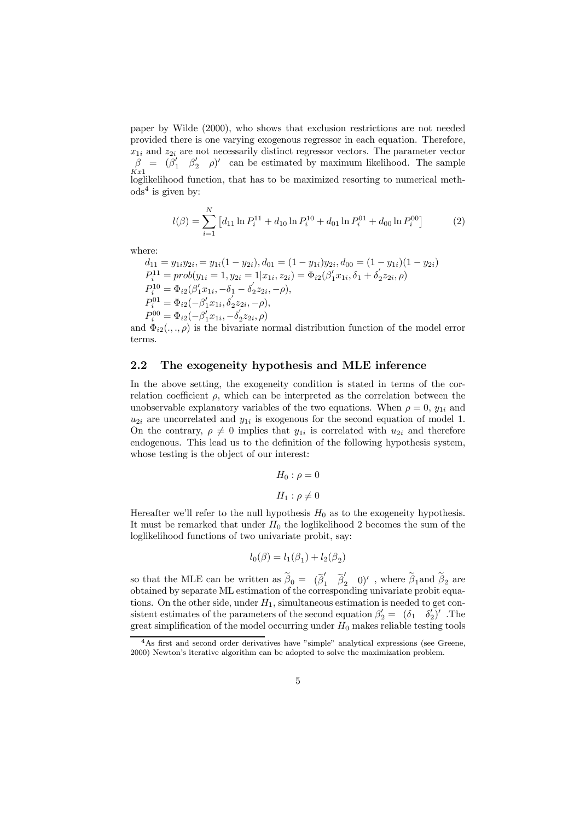paper by Wilde (2000), who shows that exclusion restrictions are not needed provided there is one varying exogenous regressor in each equation. Therefore,  $x_{1i}$  and  $z_{2i}$  are not necessarily distinct regressor vectors. The parameter vector  $\beta = (\beta'_1 \quad \beta'_2 \quad \rho)'$  can be estimated by maximum likelihood. The sample  $Kx1$ hoglikelihood function, that has to be maximized resorting to numerical meth- $\text{ods}^4$  is given by:

$$
l(\beta) = \sum_{i=1}^{N} \left[ d_{11} \ln P_i^{11} + d_{10} \ln P_i^{10} + d_{01} \ln P_i^{01} + d_{00} \ln P_i^{00} \right]
$$
 (2)

where:

$$
d_{11} = y_{1i}y_{2i} = y_{1i}(1 - y_{2i}), d_{01} = (1 - y_{1i})y_{2i}, d_{00} = (1 - y_{1i})(1 - y_{2i})
$$
  
\n
$$
P_i^{11} = prob(y_{1i} = 1, y_{2i} = 1 | x_{1i}, z_{2i}) = \Phi_{i2}(\beta'_1 x_{1i}, \delta_1 + \delta'_2 z_{2i}, \rho)
$$
  
\n
$$
P_i^{10} = \Phi_{i2}(\beta'_1 x_{1i}, -\delta_1 - \delta'_2 z_{2i}, -\rho),
$$
  
\n
$$
P_i^{01} = \Phi_{i2}(-\beta'_1 x_{1i}, \delta'_2 z_{2i}, -\rho),
$$
  
\n
$$
P_i^{00} = \Phi_{i2}(-\beta'_1 x_{1i}, -\delta'_2 z_{2i}, \rho)
$$

and  $\Phi_{i2}(.,.,\rho)$  is the bivariate normal distribution function of the model error terms.

#### 2.2 The exogeneity hypothesis and MLE inference

In the above setting, the exogeneity condition is stated in terms of the correlation coefficient  $\rho$ , which can be interpreted as the correlation between the unobservable explanatory variables of the two equations. When  $\rho = 0$ ,  $y_{1i}$  and  $u_{2i}$  are uncorrelated and  $y_{1i}$  is exogenous for the second equation of model 1. On the contrary,  $\rho \neq 0$  implies that  $y_{1i}$  is correlated with  $u_{2i}$  and therefore endogenous. This lead us to the definition of the following hypothesis system, whose testing is the object of our interest:

$$
H_0: \rho = 0
$$

$$
H_1: \rho \neq 0
$$

Hereafter we'll refer to the null hypothesis  $H_0$  as to the exogeneity hypothesis. It must be remarked that under  $H_0$  the loglikelihood 2 becomes the sum of the loglikelihood functions of two univariate probit, say:

$$
l_0(\beta) = l_1(\beta_1) + l_2(\beta_2)
$$

so that the MLE can be written as  $\hat{\beta}_0 = (\tilde{\beta}'_1 \quad \tilde{\beta}'_2 \quad 0)'$ , where  $\beta_1$  and  $\beta_2$  are obtained by separate ML estimation of the corresponding univariate probit equations. On the other side, under  $H_1$ , simultaneous estimation is needed to get consistent estimates of the parameters of the second equation  $\beta_2' = (\delta_1 \ \ \delta_2')'$ . The great simplification of the model occurring under  $H_0$  makes reliable testing tools

<sup>4</sup>As first and second order derivatives have "simple" analytical expressions (see Greene, 2000) Newton's iterative algorithm can be adopted to solve the maximization problem.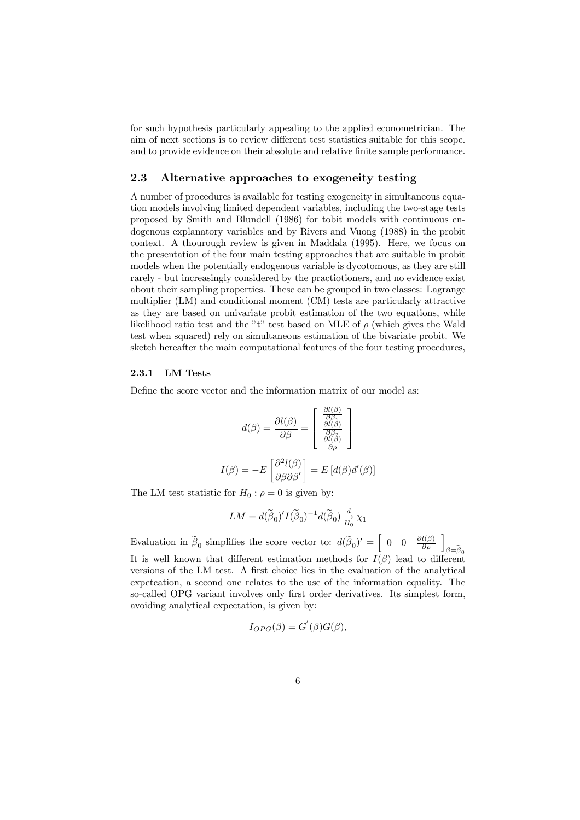for such hypothesis particularly appealing to the applied econometrician. The aim of next sections is to review different test statistics suitable for this scope. and to provide evidence on their absolute and relative finite sample performance.

#### 2.3 Alternative approaches to exogeneity testing

A number of procedures is available for testing exogeneity in simultaneous equation models involving limited dependent variables, including the two-stage tests proposed by Smith and Blundell (1986) for tobit models with continuous endogenous explanatory variables and by Rivers and Vuong (1988) in the probit context. A thourough review is given in Maddala (1995). Here, we focus on the presentation of the four main testing approaches that are suitable in probit models when the potentially endogenous variable is dycotomous, as they are still rarely - but increasingly considered by the practiotioners, and no evidence exist about their sampling properties. These can be grouped in two classes: Lagrange multiplier (LM) and conditional moment (CM) tests are particularly attractive as they are based on univariate probit estimation of the two equations, while likelihood ratio test and the "t" test based on MLE of  $\rho$  (which gives the Wald test when squared) rely on simultaneous estimation of the bivariate probit. We sketch hereafter the main computational features of the four testing procedures,

#### 2.3.1 LM Tests

Define the score vector and the information matrix of our model as:

$$
d(\beta) = \frac{\partial l(\beta)}{\partial \beta} = \begin{bmatrix} \frac{\partial l(\beta)}{\partial \beta} \\ \frac{\partial l(\beta)}{\partial \beta} \\ \frac{\partial l(\beta)}{\partial \rho} \end{bmatrix}
$$

$$
I(\beta) = -E \left[ \frac{\partial^2 l(\beta)}{\partial \beta \partial \beta'} \right] = E \left[ d(\beta) d'(\beta) \right]
$$

The LM test statistic for  $H_0$ :  $\rho = 0$  is given by:

$$
LM=d(\widetilde{\boldsymbol{\beta}}_0)'I(\widetilde{\boldsymbol{\beta}}_0)^{-1}d(\widetilde{\boldsymbol{\beta}}_0)\overset{d}{\underset{H_0}{\rightarrow}}\chi_1
$$

Evaluation in  $\tilde{\beta}_0$  simplifies the score vector to:  $d(\tilde{\beta}_0)' = \begin{bmatrix} 0 & 0 & \frac{\partial l(\beta)}{\partial \rho} \end{bmatrix}_{\beta = \tilde{\beta}_0}$ It is well known that different estimation methods for  $I(\beta)$  lead to different versions of the LM test. A first choice lies in the evaluation of the analytical expetcation, a second one relates to the use of the information equality. The so-called OPG variant involves only first order derivatives. Its simplest form, avoiding analytical expectation, is given by:

$$
I_{OPG}(\beta) = G^{'}(\beta)G(\beta),
$$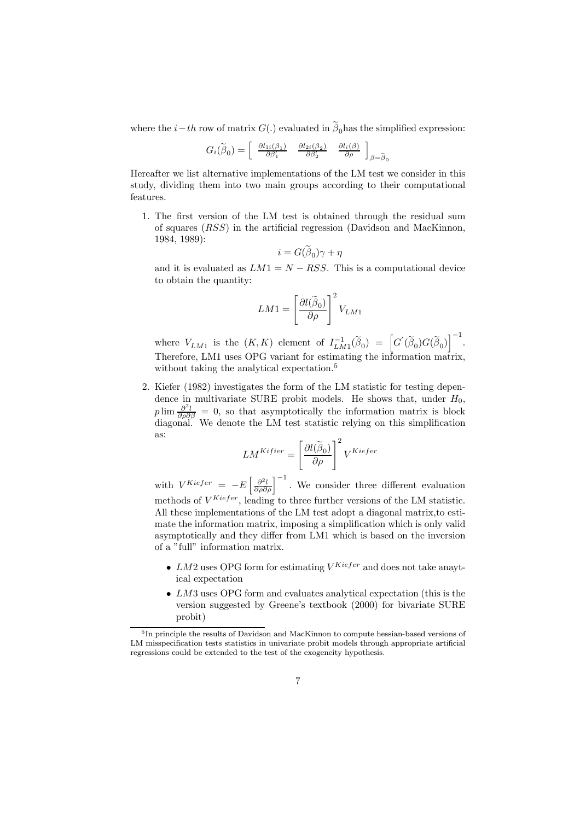where the  $i-th$  row of matrix  $G(.)$  evaluated in  $\tilde{\beta}_0$  has the simplified expression:

$$
G_i(\widetilde{\boldsymbol{\beta}}_0)=\left[\begin{array}{cc}\frac{\partial l_{1i}(\boldsymbol{\beta}_1)}{\partial\beta_1'} & \frac{\partial l_{2i}(\boldsymbol{\beta}_2)}{\partial\beta_2'} & \frac{\partial l_{i}(\boldsymbol{\beta})}{\partial\boldsymbol{\rho}}\end{array}\right]_{\boldsymbol{\beta}=\widetilde{\boldsymbol{\beta}}_0}
$$

Hereafter we list alternative implementations of the LM test we consider in this study, dividing them into two main groups according to their computational features.

1. The first version of the LM test is obtained through the residual sum of squares (RSS) in the artificial regression (Davidson and MacKinnon, 1984, 1989):

$$
i=G(\beta_0)\gamma+\eta
$$

and it is evaluated as  $LM1 = N - RSS$ . This is a computational device to obtain the quantity:

$$
LM1 = \left[\frac{\partial l(\widetilde{\beta}_0)}{\partial \rho}\right]^2 V_{LM1}
$$

where  $V_{LM1}$  is the  $(K,K)$  element of  $I_{LM1}^{-1}(\widetilde{\beta}_0) = \left[G'(\widetilde{\beta}_0)G(\widetilde{\beta}_0)\right]^{-1}$ . Therefore, LM1 uses OPG variant for estimating the information matrix, without taking the analytical expectation.<sup>5</sup>

2. Kiefer (1982) investigates the form of the LM statistic for testing dependence in multivariate SURE probit models. He shows that, under  $H_0$ ,  $p \lim \frac{\partial^2 l}{\partial \rho \partial \beta} = 0$ , so that asymptotically the information matrix is block diagonal. We denote the LM test statistic relying on this simplification as:

$$
LM^{Kifter} = \left[\frac{\partial l(\widetilde{\beta}_0)}{\partial \rho}\right]^2 V^{Kiefer}
$$

with  $V^{Kiefer} = -E \left[ \frac{\partial^2 l}{\partial \rho \partial \rho} \right]^{-1}$ . We consider three different evaluation methods of  $V^{Kiefer}$ , leading to three further versions of the LM statistic. All these implementations of the LM test adopt a diagonal matrix,to estimate the information matrix, imposing a simplification which is only valid asymptotically and they differ from LM1 which is based on the inversion of a "full" information matrix.

- LM2 uses OPG form for estimating  $V^{Kiefer}$  and does not take anaytical expectation
- LM3 uses OPG form and evaluates analytical expectation (this is the version suggested by Greene's textbook (2000) for bivariate SURE probit)

<sup>5</sup>In principle the results of Davidson and MacKinnon to compute hessian-based versions of LM misspecification tests statistics in univariate probit models through appropriate artificial regressions could be extended to the test of the exogeneity hypothesis.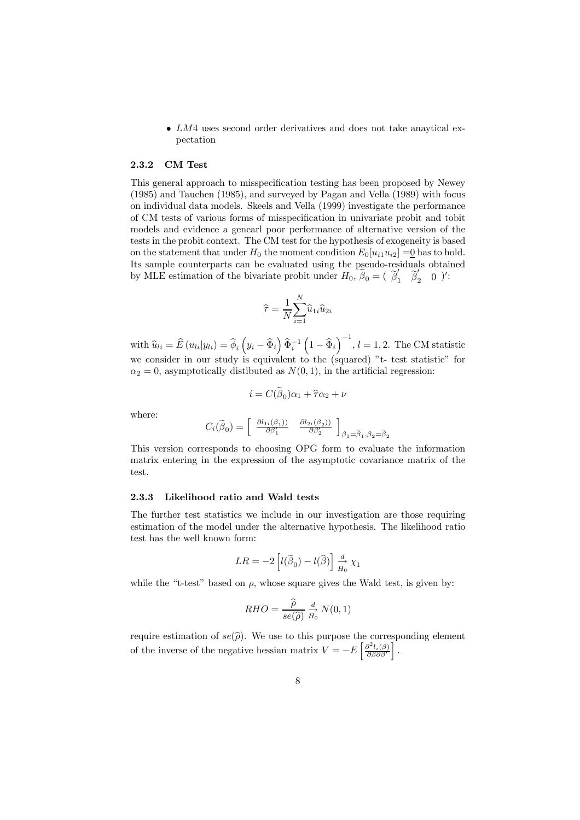• LM4 uses second order derivatives and does not take anaytical expectation

#### 2.3.2 CM Test

This general approach to misspecification testing has been proposed by Newey (1985) and Tauchen (1985), and surveyed by Pagan and Vella (1989) with focus on individual data models. Skeels and Vella (1999) investigate the performance of CM tests of various forms of misspecification in univariate probit and tobit models and evidence a genearl poor performance of alternative version of the tests in the probit context. The CM test for the hypothesis of exogeneity is based on the statement that under  $H_0$  the moment condition  $E_0[u_{i1}u_{i2}] = 0$  has to hold. Its sample counterparts can be evaluated using the pseudo-residuals obtained by MLE estimation of the bivariate probit under  $H_0$ ,  $\tilde{\beta}_0 = (\tilde{\beta}'_1 \tilde{\beta}'_2 \tilde{0})'$ :

$$
\widehat{\tau} = \frac{1}{N} \! \sum_{i=1}^N \widehat{u}_{1i} \widehat{u}_{2i}
$$

with  $\hat{u}_{li} = \hat{E}(u_{li}|y_{li}) = \hat{\phi}_i \left( y_i - \hat{\Phi}_i \right) \hat{\Phi}_i^{-1} \left( 1 - \hat{\Phi}_i \right)^{-1}, l = 1, 2$ . The CM statistic we consider in our study is equivalent to the (squared) "t- test statistic" for  $\alpha_2 = 0$ , asymptotically distibuted as  $N(0, 1)$ , in the artificial regression:

$$
i = C(\hat{\beta}_0)\alpha_1 + \hat{\tau}\alpha_2 + \nu
$$

where:

$$
C_i(\widetilde{\boldsymbol{\beta}}_0)=\left[\begin{array}{cc}\frac{\partial l_{1i}(\boldsymbol{\beta}_1))}{\partial\beta_1'} & \frac{\partial l_{2i}(\boldsymbol{\beta}_2))}{\partial\beta_2'}\end{array}\right]_{\beta_1=\widetilde{\beta}_1,\beta_2=\widetilde{\beta}_2}
$$

This version corresponds to choosing OPG form to evaluate the information matrix entering in the expression of the asymptotic covariance matrix of the test.

#### 2.3.3 Likelihood ratio and Wald tests

The further test statistics we include in our investigation are those requiring estimation of the model under the alternative hypothesis. The likelihood ratio test has the well known form:

$$
LR = -2\left[l(\widetilde{\beta}_0) - l(\widehat{\beta})\right] \xrightarrow[H_0]{d} \chi_1
$$

while the "t-test" based on  $\rho$ , whose square gives the Wald test, is given by:

$$
RHO = \frac{\widehat{\rho}}{se(\widehat{\rho})} \stackrel{d}{H_0} N(0, 1)
$$

require estimation of  $se(\hat{\rho})$ . We use to this purpose the corresponding element of the inverse of the negative hessian matrix  $V = -E \left[ \frac{\partial^2 l_i(\beta)}{\partial \beta \partial \beta'} \right]$ i .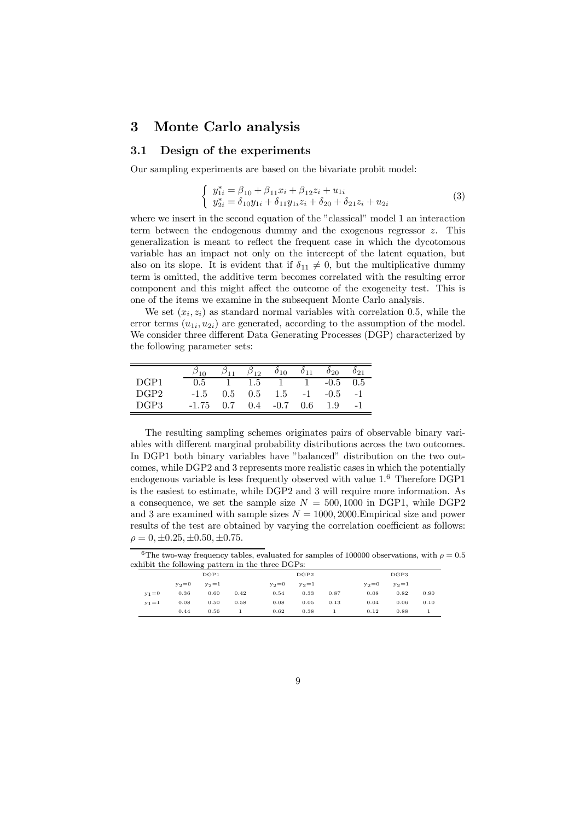### 3 Monte Carlo analysis

#### 3.1 Design of the experiments

Our sampling experiments are based on the bivariate probit model:

$$
\begin{cases}\n y_{1i}^* = \beta_{10} + \beta_{11} x_i + \beta_{12} z_i + u_{1i} \\
y_{2i}^* = \delta_{10} y_{1i} + \delta_{11} y_{1i} z_i + \delta_{20} + \delta_{21} z_i + u_{2i}\n\end{cases} (3)
$$

where we insert in the second equation of the "classical" model 1 an interaction term between the endogenous dummy and the exogenous regressor z. This generalization is meant to reflect the frequent case in which the dycotomous variable has an impact not only on the intercept of the latent equation, but also on its slope. It is evident that if  $\delta_{11} \neq 0$ , but the multiplicative dummy term is omitted, the additive term becomes correlated with the resulting error component and this might affect the outcome of the exogeneity test. This is one of the items we examine in the subsequent Monte Carlo analysis.

We set  $(x_i, z_i)$  as standard normal variables with correlation 0.5, while the error terms  $(u_{1i}, u_{2i})$  are generated, according to the assumption of the model. We consider three different Data Generating Processes (DGP) characterized by the following parameter sets:

|                  |         |     | $\beta_{12}$  | $\delta_{10}$ | $\delta_{11}$ | $\delta_{20}$     | $\delta_{21}$ |
|------------------|---------|-----|---------------|---------------|---------------|-------------------|---------------|
| DGP1             | 0.5     |     | $1.5^{\circ}$ | $\sim$ 1      | $\mathbf{1}$  | $-\overline{0.5}$ | 0.5           |
| DGP <sub>2</sub> | $-1.5$  | 0.5 | 0.5           | 1.5           | $-1$          | $-0.5$            | $-1$          |
| DGP3             | $-1.75$ | 0.7 | 0.4           | $-0.7$        | 0.6           | 1.9               |               |

Ĭ.

The resulting sampling schemes originates pairs of observable binary variables with different marginal probability distributions across the two outcomes. In DGP1 both binary variables have "balanced" distribution on the two outcomes, while DGP2 and 3 represents more realistic cases in which the potentially endogenous variable is less frequently observed with value 1.<sup>6</sup> Therefore DGP1 is the easiest to estimate, while DGP2 and 3 will require more information. As a consequence, we set the sample size  $N = 500, 1000$  in DGP1, while DGP2 and 3 are examined with sample sizes  $N = 1000, 2000$ . Empirical size and power results of the test are obtained by varying the correlation coefficient as follows:  $\rho = 0, \pm 0.25, \pm 0.50, \pm 0.75.$ 

<sup>6</sup>The two-way frequency tables, evaluated for samples of 100000 observations, with  $\rho = 0.5$ exhibit the following pattern in the three DGPs:

|           |         | $^{\circ}$ |      |         |           |      |         |           |      |
|-----------|---------|------------|------|---------|-----------|------|---------|-----------|------|
|           |         | DGP1       |      |         | DGP2      |      |         | DGP3      |      |
|           | $y_2=0$ | $y_2 = 1$  |      | $y_2=0$ | $y_2 = 1$ |      | $y_2=0$ | $y_2 = 1$ |      |
| $y_1 = 0$ | 0.36    | 0.60       | 0.42 | 0.54    | 0.33      | 0.87 | 0.08    | 0.82      | 0.90 |
| $y_1 = 1$ | 0.08    | 0.50       | 0.58 | 0.08    | 0.05      | 0.13 | 0.04    | 0.06      | 0.10 |
|           | 0.44    | 0.56       |      | 0.62    | 0.38      |      | 0.12    | 0.88      |      |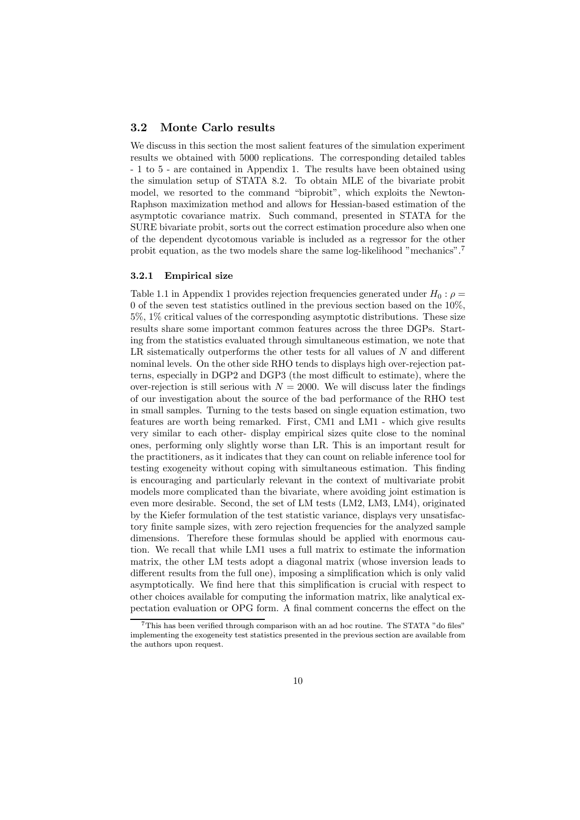#### 3.2 Monte Carlo results

We discuss in this section the most salient features of the simulation experiment results we obtained with 5000 replications. The corresponding detailed tables - 1 to 5 - are contained in Appendix 1. The results have been obtained using the simulation setup of STATA 8.2. To obtain MLE of the bivariate probit model, we resorted to the command "biprobit", which exploits the Newton-Raphson maximization method and allows for Hessian-based estimation of the asymptotic covariance matrix. Such command, presented in STATA for the SURE bivariate probit, sorts out the correct estimation procedure also when one of the dependent dycotomous variable is included as a regressor for the other probit equation, as the two models share the same log-likelihood "mechanics".<sup>7</sup>

#### 3.2.1 Empirical size

Table 1.1 in Appendix 1 provides rejection frequencies generated under  $H_0$ :  $\rho =$ 0 of the seven test statistics outlined in the previous section based on the  $10\%$ . 5%, 1% critical values of the corresponding asymptotic distributions. These size results share some important common features across the three DGPs. Starting from the statistics evaluated through simultaneous estimation, we note that LR sistematically outperforms the other tests for all values of N and different nominal levels. On the other side RHO tends to displays high over-rejection patterns, especially in DGP2 and DGP3 (the most difficult to estimate), where the over-rejection is still serious with  $N = 2000$ . We will discuss later the findings of our investigation about the source of the bad performance of the RHO test in small samples. Turning to the tests based on single equation estimation, two features are worth being remarked. First, CM1 and LM1 - which give results very similar to each other- display empirical sizes quite close to the nominal ones, performing only slightly worse than LR. This is an important result for the practitioners, as it indicates that they can count on reliable inference tool for testing exogeneity without coping with simultaneous estimation. This finding is encouraging and particularly relevant in the context of multivariate probit models more complicated than the bivariate, where avoiding joint estimation is even more desirable. Second, the set of LM tests (LM2, LM3, LM4), originated by the Kiefer formulation of the test statistic variance, displays very unsatisfactory finite sample sizes, with zero rejection frequencies for the analyzed sample dimensions. Therefore these formulas should be applied with enormous caution. We recall that while LM1 uses a full matrix to estimate the information matrix, the other LM tests adopt a diagonal matrix (whose inversion leads to different results from the full one), imposing a simplification which is only valid asymptotically. We find here that this simplification is crucial with respect to other choices available for computing the information matrix, like analytical expectation evaluation or OPG form. A final comment concerns the effect on the

<sup>7</sup>This has been verified through comparison with an ad hoc routine. The STATA "do files" implementing the exogeneity test statistics presented in the previous section are available from the authors upon request.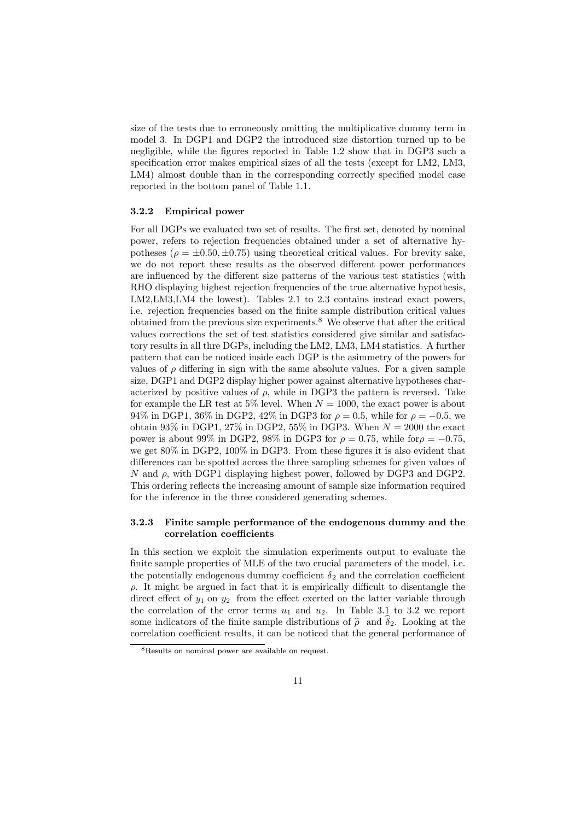size of the tests due to erroneously omitting the multiplicative dummy term in model 3. In DGP1 and DGP2 the introduced size distortion turned up to be negligible, while the figures reported in Table 1.2 show that in DGP3 such a specification error makes empirical sizes of all the tests (except for LM2, LM3, LM4) almost double than in the corresponding correctly specified model case reported in the bottom panel of Table 1.1.

#### 3.2.2 Empirical power

For all DGPs we evaluated two set of results. The first set, denoted by nominal power, refers to rejection frequencies obtained under a set of alternative hypotheses ( $\rho = \pm 0.50, \pm 0.75$ ) using theoretical critical values. For brevity sake, we do not report these results as the observed different power performances are influenced by the different size patterns of the various test statistics (with RHO displaying highest rejection frequencies of the true alternative hypothesis, LM2,LM3,LM4 the lowest). Tables 2.1 to 2.3 contains instead exact powers, i.e. rejection frequencies based on the finite sample distribution critical values obtained from the previous size experiments.<sup>8</sup> We observe that after the critical values corrections the set of test statistics considered give similar and satisfactory results in all thre DGPs, including the LM2, LM3, LM4 statistics. A further pattern that can be noticed inside each DGP is the asimmetry of the powers for values of  $\rho$  differing in sign with the same absolute values. For a given sample size, DGP1 and DGP2 display higher power against alternative hypotheses characterized by positive values of  $\rho$ , while in DGP3 the pattern is reversed. Take for example the LR test at 5% level. When  $N = 1000$ , the exact power is about 94% in DGP1, 36% in DGP2, 42% in DGP3 for  $\rho = 0.5$ , while for  $\rho = -0.5$ , we obtain 93% in DGP1, 27% in DGP2, 55% in DGP3. When  $N = 2000$  the exact power is about 99% in DGP2, 98% in DGP3 for  $\rho = 0.75$ , while for  $\rho = -0.75$ , we get 80% in DGP2, 100% in DGP3. From these figures it is also evident that differences can be spotted across the three sampling schemes for given values of N and  $\rho$ , with DGP1 displaying highest power, followed by DGP3 and DGP2. This ordering reflects the increasing amount of sample size information required for the inference in the three considered generating schemes.

#### 3.2.3 Finite sample performance of the endogenous dummy and the correlation coefficients

In this section we exploit the simulation experiments output to evaluate the finite sample properties of MLE of the two crucial parameters of the model, i.e. the potentially endogenous dummy coefficient  $\delta_2$  and the correlation coefficient  $\rho$ . It might be argued in fact that it is empirically difficult to disentangle the direct effect of  $y_1$  on  $y_2$  from the effect exerted on the latter variable through the correlation of the error terms  $u_1$  and  $u_2$ . In Table 3.1 to 3.2 we report some indicators of the finite sample distributions of  $\hat{\rho}$  and  $\delta_2$ . Looking at the correlation coefficient results, it can be noticed that the general performance of

<sup>8</sup>Results on nominal power are available on request.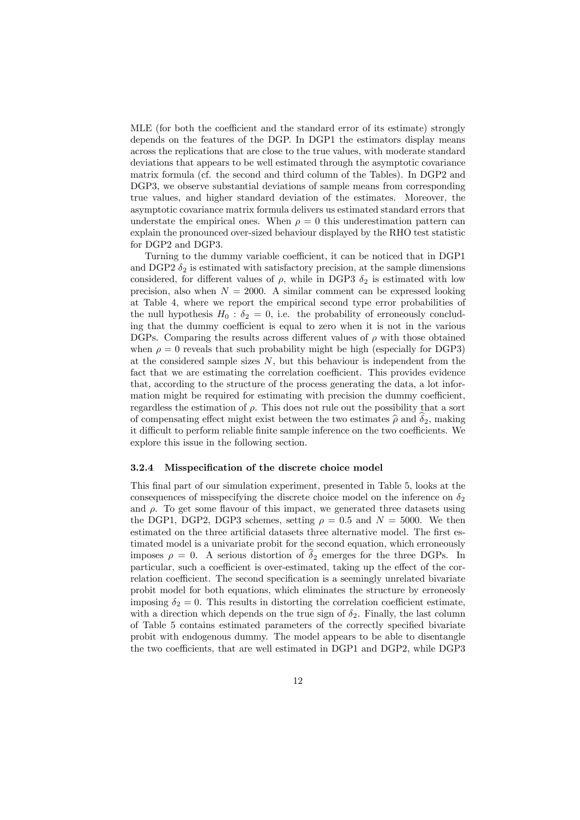MLE (for both the coefficient and the standard error of its estimate) strongly depends on the features of the DGP. In DGP1 the estimators display means across the replications that are close to the true values, with moderate standard deviations that appears to be well estimated through the asymptotic covariance matrix formula (cf. the second and third column of the Tables). In DGP2 and DGP3, we observe substantial deviations of sample means from corresponding true values, and higher standard deviation of the estimates. Moreover, the asymptotic covariance matrix formula delivers us estimated standard errors that understate the empirical ones. When  $\rho = 0$  this underestimation pattern can explain the pronounced over-sized behaviour displayed by the RHO test statistic for DGP2 and DGP3.

Turning to the dummy variable coefficient, it can be noticed that in DGP1 and DGP2  $\delta_2$  is estimated with satisfactory precision, at the sample dimensions considered, for different values of  $\rho$ , while in DGP3  $\delta_2$  is estimated with low precision, also when  $N = 2000$ . A similar comment can be expressed looking at Table 4, where we report the empirical second type error probabilities of the null hypothesis  $H_0$ :  $\delta_2 = 0$ , i.e. the probability of erroneously concluding that the dummy coefficient is equal to zero when it is not in the various DGPs. Comparing the results across different values of  $\rho$  with those obtained when  $\rho = 0$  reveals that such probability might be high (especially for DGP3) at the considered sample sizes  $N$ , but this behaviour is independent from the fact that we are estimating the correlation coefficient. This provides evidence that, according to the structure of the process generating the data, a lot information might be required for estimating with precision the dummy coefficient, regardless the estimation of  $\rho$ . This does not rule out the possibility that a sort of compensating effect might exist between the two estimates  $\hat{\rho}$  and  $\hat{\delta}_2$ , making it difficult to perform reliable finite sample inference on the two coefficients. We explore this issue in the following section.

#### 3.2.4 Misspecification of the discrete choice model

This final part of our simulation experiment, presented in Table 5, looks at the consequences of misspecifying the discrete choice model on the inference on  $\delta_2$ and  $\rho$ . To get some flavour of this impact, we generated three datasets using the DGP1, DGP2, DGP3 schemes, setting  $\rho = 0.5$  and  $N = 5000$ . We then estimated on the three artificial datasets three alternative model. The first estimated model is a univariate probit for the second equation, which erroneously imposes  $\rho = 0$ . A serious distortion of  $\hat{\delta}_2$  emerges for the three DGPs. In particular, such a coefficient is over-estimated, taking up the effect of the correlation coefficient. The second specification is a seemingly unrelated bivariate probit model for both equations, which eliminates the structure by erroneosly imposing  $\delta_2 = 0$ . This results in distorting the correlation coefficient estimate, with a direction which depends on the true sign of  $\delta_2$ . Finally, the last column of Table 5 contains estimated parameters of the correctly specified bivariate probit with endogenous dummy. The model appears to be able to disentangle the two coefficients, that are well estimated in DGP1 and DGP2, while DGP3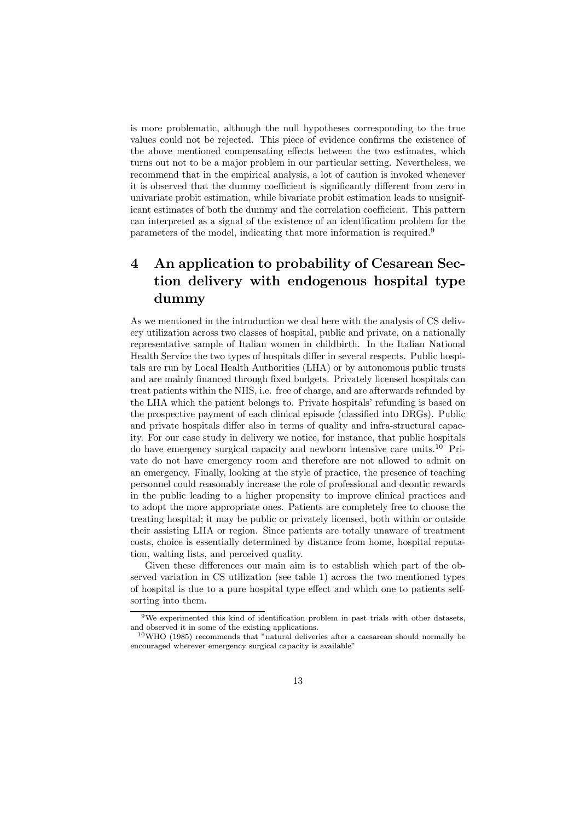is more problematic, although the null hypotheses corresponding to the true values could not be rejected. This piece of evidence confirms the existence of the above mentioned compensating effects between the two estimates, which turns out not to be a major problem in our particular setting. Nevertheless, we recommend that in the empirical analysis, a lot of caution is invoked whenever it is observed that the dummy coefficient is significantly different from zero in univariate probit estimation, while bivariate probit estimation leads to unsignificant estimates of both the dummy and the correlation coefficient. This pattern can interpreted as a signal of the existence of an identification problem for the parameters of the model, indicating that more information is required.<sup>9</sup>

## 4 An application to probability of Cesarean Section delivery with endogenous hospital type dummy

As we mentioned in the introduction we deal here with the analysis of CS delivery utilization across two classes of hospital, public and private, on a nationally representative sample of Italian women in childbirth. In the Italian National Health Service the two types of hospitals differ in several respects. Public hospitals are run by Local Health Authorities (LHA) or by autonomous public trusts and are mainly financed through fixed budgets. Privately licensed hospitals can treat patients within the NHS, i.e. free of charge, and are afterwards refunded by the LHA which the patient belongs to. Private hospitals' refunding is based on the prospective payment of each clinical episode (classified into DRGs). Public and private hospitals differ also in terms of quality and infra-structural capacity. For our case study in delivery we notice, for instance, that public hospitals do have emergency surgical capacity and newborn intensive care units.<sup>10</sup> Private do not have emergency room and therefore are not allowed to admit on an emergency. Finally, looking at the style of practice, the presence of teaching personnel could reasonably increase the role of professional and deontic rewards in the public leading to a higher propensity to improve clinical practices and to adopt the more appropriate ones. Patients are completely free to choose the treating hospital; it may be public or privately licensed, both within or outside their assisting LHA or region. Since patients are totally unaware of treatment costs, choice is essentially determined by distance from home, hospital reputation, waiting lists, and perceived quality.

Given these differences our main aim is to establish which part of the observed variation in CS utilization (see table 1) across the two mentioned types of hospital is due to a pure hospital type effect and which one to patients selfsorting into them.

 $9$ We experimented this kind of identification problem in past trials with other datasets, and observed it in some of the existing applications.

<sup>10</sup>WHO (1985) recommends that "natural deliveries after a caesarean should normally be encouraged wherever emergency surgical capacity is available"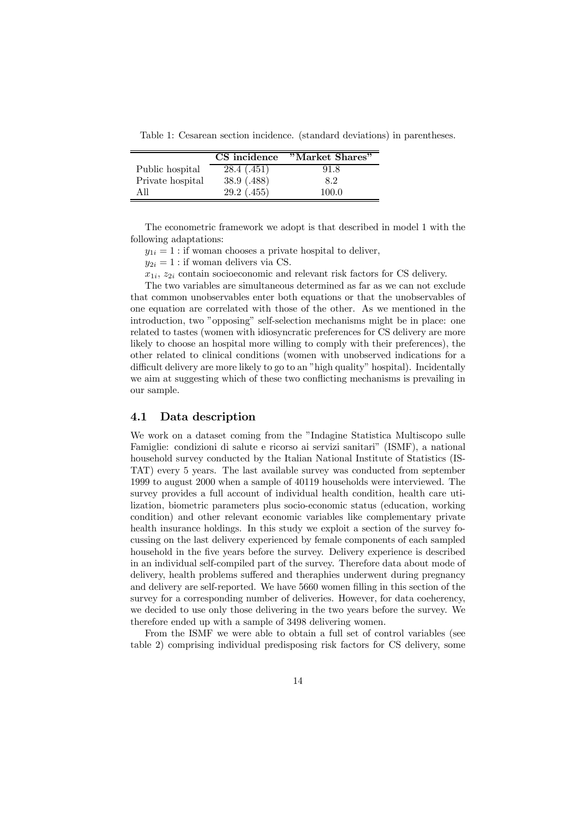Table 1: Cesarean section incidence. (standard deviations) in parentheses.

|                  | CS incidence | "Market Shares" |
|------------------|--------------|-----------------|
| Public hospital  | 28.4(0.451)  | 91.8            |
| Private hospital | 38.9(0.488)  | 8.2             |
| All              | 29.2(0.455)  | 100.0           |

The econometric framework we adopt is that described in model 1 with the following adaptations:

 $y_{1i} = 1$ : if woman chooses a private hospital to deliver,

 $y_{2i} = 1$ : if woman delivers via CS.

 $x_{1i}$ ,  $z_{2i}$  contain socioeconomic and relevant risk factors for CS delivery.

The two variables are simultaneous determined as far as we can not exclude that common unobservables enter both equations or that the unobservables of one equation are correlated with those of the other. As we mentioned in the introduction, two "opposing" self-selection mechanisms might be in place: one related to tastes (women with idiosyncratic preferences for CS delivery are more likely to choose an hospital more willing to comply with their preferences), the other related to clinical conditions (women with unobserved indications for a difficult delivery are more likely to go to an "high quality" hospital). Incidentally we aim at suggesting which of these two conflicting mechanisms is prevailing in our sample.

#### 4.1 Data description

We work on a dataset coming from the "Indagine Statistica Multiscopo sulle Famiglie: condizioni di salute e ricorso ai servizi sanitari" (ISMF), a national household survey conducted by the Italian National Institute of Statistics (IS-TAT) every 5 years. The last available survey was conducted from september 1999 to august 2000 when a sample of 40119 households were interviewed. The survey provides a full account of individual health condition, health care utilization, biometric parameters plus socio-economic status (education, working condition) and other relevant economic variables like complementary private health insurance holdings. In this study we exploit a section of the survey focussing on the last delivery experienced by female components of each sampled household in the five years before the survey. Delivery experience is described in an individual self-compiled part of the survey. Therefore data about mode of delivery, health problems suffered and theraphies underwent during pregnancy and delivery are self-reported. We have 5660 women filling in this section of the survey for a corresponding number of deliveries. However, for data coeherency, we decided to use only those delivering in the two years before the survey. We therefore ended up with a sample of 3498 delivering women.

From the ISMF we were able to obtain a full set of control variables (see table 2) comprising individual predisposing risk factors for CS delivery, some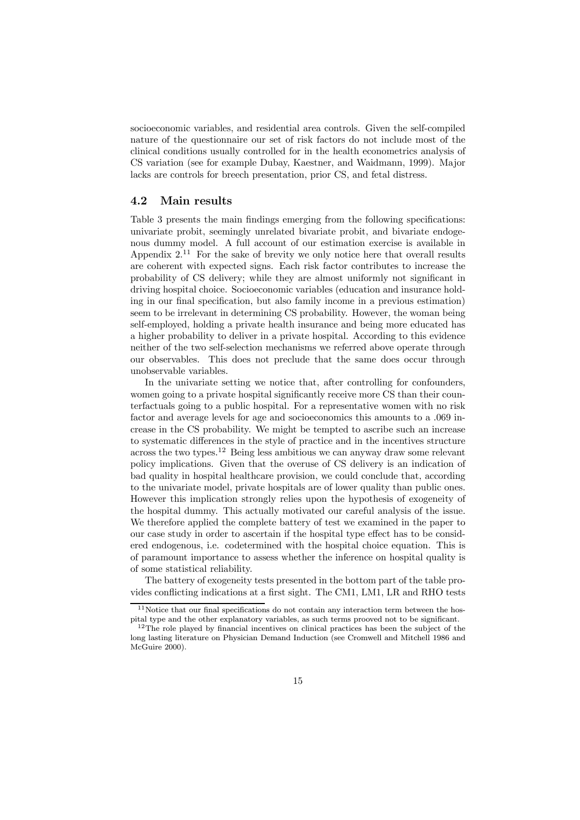socioeconomic variables, and residential area controls. Given the self-compiled nature of the questionnaire our set of risk factors do not include most of the clinical conditions usually controlled for in the health econometrics analysis of CS variation (see for example Dubay, Kaestner, and Waidmann, 1999). Major lacks are controls for breech presentation, prior CS, and fetal distress.

#### 4.2 Main results

Table 3 presents the main findings emerging from the following specifications: univariate probit, seemingly unrelated bivariate probit, and bivariate endogenous dummy model. A full account of our estimation exercise is available in Appendix  $2^{11}$  For the sake of brevity we only notice here that overall results are coherent with expected signs. Each risk factor contributes to increase the probability of CS delivery; while they are almost uniformly not significant in driving hospital choice. Socioeconomic variables (education and insurance holding in our final specification, but also family income in a previous estimation) seem to be irrelevant in determining CS probability. However, the woman being self-employed, holding a private health insurance and being more educated has a higher probability to deliver in a private hospital. According to this evidence neither of the two self-selection mechanisms we referred above operate through our observables. This does not preclude that the same does occur through unobservable variables.

In the univariate setting we notice that, after controlling for confounders, women going to a private hospital significantly receive more CS than their counterfactuals going to a public hospital. For a representative women with no risk factor and average levels for age and socioeconomics this amounts to a .069 increase in the CS probability. We might be tempted to ascribe such an increase to systematic differences in the style of practice and in the incentives structure across the two types.<sup>12</sup> Being less ambitious we can anyway draw some relevant policy implications. Given that the overuse of CS delivery is an indication of bad quality in hospital healthcare provision, we could conclude that, according to the univariate model, private hospitals are of lower quality than public ones. However this implication strongly relies upon the hypothesis of exogeneity of the hospital dummy. This actually motivated our careful analysis of the issue. We therefore applied the complete battery of test we examined in the paper to our case study in order to ascertain if the hospital type effect has to be considered endogenous, i.e. codetermined with the hospital choice equation. This is of paramount importance to assess whether the inference on hospital quality is of some statistical reliability.

The battery of exogeneity tests presented in the bottom part of the table provides conflicting indications at a first sight. The CM1, LM1, LR and RHO tests

 $11$ Notice that our final specifications do not contain any interaction term between the hospital type and the other explanatory variables, as such terms prooved not to be significant.

<sup>&</sup>lt;sup>12</sup>The role played by financial incentives on clinical practices has been the subject of the long lasting literature on Physician Demand Induction (see Cromwell and Mitchell 1986 and McGuire 2000).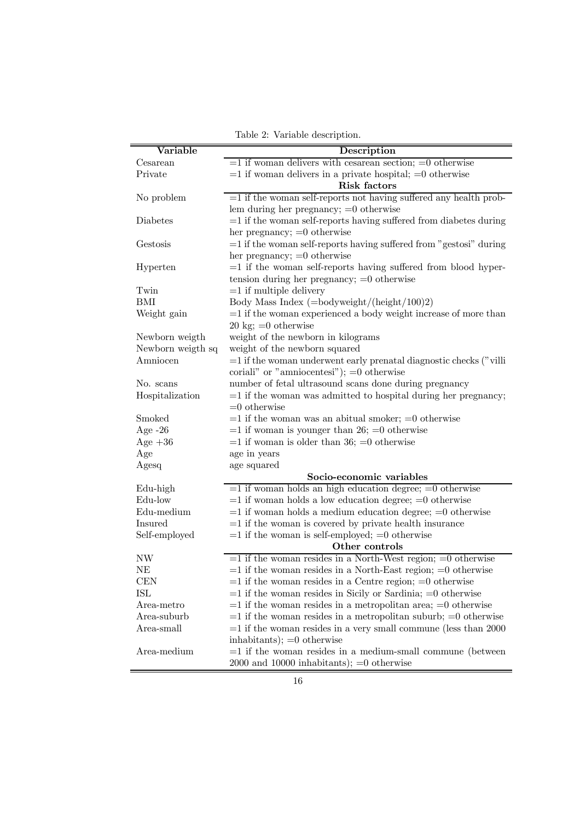| Variable          | Description                                                          |
|-------------------|----------------------------------------------------------------------|
| Cesarean          | $=1$ if woman delivers with cesarean section; $=0$ otherwise         |
| Private           | $=1$ if woman delivers in a private hospital; $=0$ otherwise         |
|                   | Risk factors                                                         |
| No problem        | $=1$ if the woman self-reports not having suffered any health prob-  |
|                   | lem during her pregnancy; $=0$ otherwise                             |
| Diabetes          | $=1$ if the woman self-reports having suffered from diabetes during  |
|                   | her pregnancy; $=0$ otherwise                                        |
| Gestosis          | $=1$ if the woman self-reports having suffered from "gestosi" during |
|                   | her pregnancy; $=0$ otherwise                                        |
| Hyperten          | $=1$ if the woman self-reports having suffered from blood hyper-     |
|                   | tension during her pregnancy; $=0$ otherwise                         |
| Twin              | $=1$ if multiple delivery                                            |
| BMI               | Body Mass Index $(=\text{bodyweight}/(\text{height}/100)2)$          |
| Weight gain       | $=1$ if the woman experienced a body weight increase of more than    |
|                   | $20 \text{ kg}$ ; = 0 otherwise                                      |
| Newborn weigth    | weight of the newborn in kilograms                                   |
| Newborn weigth sq | weight of the newborn squared                                        |
| Amniocen          | $=1$ if the woman underwent early prenatal diagnostic checks ("villi |
|                   | coriali" or "amniocentesi"); $=0$ otherwise                          |
| No. scans         | number of fetal ultrasound scans done during pregnancy               |
| Hospitalization   | $=1$ if the woman was admitted to hospital during her pregnancy;     |
|                   | $=0$ otherwise                                                       |
| Smoked            | $=1$ if the woman was an abitual smoker; $=0$ otherwise              |
| Age $-26$         | $=1$ if woman is younger than 26; $=0$ otherwise                     |
| Age $+36$         | $=1$ if woman is older than 36; $=0$ otherwise                       |
| Age               | age in years                                                         |
| Agesq             | age squared                                                          |
|                   | Socio-economic variables                                             |
| Edu-high          | $=1$ if woman holds an high education degree; $=0$ otherwise         |
| Edu-low           | $=1$ if woman holds a low education degree; $=0$ otherwise           |
| Edu-medium        | $=1$ if woman holds a medium education degree; $=0$ otherwise        |
| Insured           | $=1$ if the woman is covered by private health insurance             |
| Self-employed     | $=1$ if the woman is self-employed; $=0$ otherwise                   |
|                   | Other controls                                                       |
| NW                | $=1$ if the woman resides in a North-West region; $=0$ otherwise     |
| NE                | $=1$ if the woman resides in a North-East region; $=0$ otherwise     |
| <b>CEN</b>        | $=1$ if the woman resides in a Centre region; $=0$ otherwise         |
| ISL               | $=1$ if the woman resides in Sicily or Sardinia; $=0$ otherwise      |
| Area-metro        | $=1$ if the woman resides in a metropolitan area; $=0$ otherwise     |
| Area-suburb       | $=1$ if the woman resides in a metropolitan suburb; $=0$ otherwise   |
| Area-small        | $=1$ if the woman resides in a very small commune (less than 2000)   |
|                   | inhabitants); $=0$ otherwise                                         |
| Area-medium       | $=1$ if the woman resides in a medium-small commune (between         |
|                   | $2000$ and $10000$ inhabitants); $=0$ otherwise                      |

Table 2: Variable description.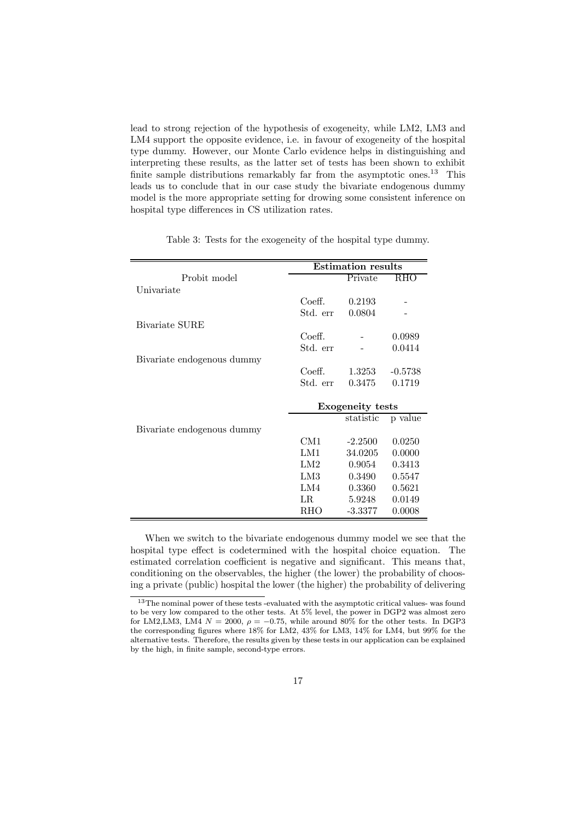lead to strong rejection of the hypothesis of exogeneity, while LM2, LM3 and LM4 support the opposite evidence, i.e. in favour of exogeneity of the hospital type dummy. However, our Monte Carlo evidence helps in distinguishing and interpreting these results, as the latter set of tests has been shown to exhibit finite sample distributions remarkably far from the asymptotic ones.<sup>13</sup> This leads us to conclude that in our case study the bivariate endogenous dummy model is the more appropriate setting for drowing some consistent inference on hospital type differences in CS utilization rates.

|                            |             | <b>Estimation results</b> |           |
|----------------------------|-------------|---------------------------|-----------|
| Probit model               |             | Private                   | RHO       |
| Univariate                 |             |                           |           |
|                            | Coeff.      | 0.2193                    |           |
|                            | Std. err    | 0.0804                    |           |
| Bivariate SURE             |             |                           |           |
|                            | Coeff.      |                           | 0.0989    |
|                            | Std. err    |                           | 0.0414    |
| Bivariate endogenous dummy |             |                           |           |
|                            | Coeff.      | 1.3253                    | $-0.5738$ |
|                            | Std. err    | 0.3475                    | 0.1719    |
|                            |             |                           |           |
|                            |             | <b>Exogeneity</b> tests   |           |
|                            |             | statistic                 | p value   |
| Bivariate endogenous dummy |             |                           |           |
|                            | CM1         | $-2.2500$                 | 0.0250    |
|                            | LM1         | 34.0205                   | 0.0000    |
|                            | LM2         | 0.9054                    | 0.3413    |
|                            | LM3         | 0.3490                    | 0.5547    |
|                            | LM4         | 0.3360                    | 0.5621    |
|                            | $_{\rm LR}$ | 5.9248                    | 0.0149    |
|                            | RHO         | $-3.3377$                 | 0.0008    |

Table 3: Tests for the exogeneity of the hospital type dummy.

When we switch to the bivariate endogenous dummy model we see that the hospital type effect is codetermined with the hospital choice equation. The estimated correlation coefficient is negative and significant. This means that, conditioning on the observables, the higher (the lower) the probability of choosing a private (public) hospital the lower (the higher) the probability of delivering

<sup>&</sup>lt;sup>13</sup>The nominal power of these tests -evaluated with the asymptotic critical values- was found to be very low compared to the other tests. At 5% level, the power in DGP2 was almost zero for LM2,LM3, LM4  $N = 2000$ ,  $\rho = -0.75$ , while around 80% for the other tests. In DGP3 the corresponding figures where 18% for LM2, 43% for LM3, 14% for LM4, but 99% for the alternative tests. Therefore, the results given by these tests in our application can be explained by the high, in finite sample, second-type errors.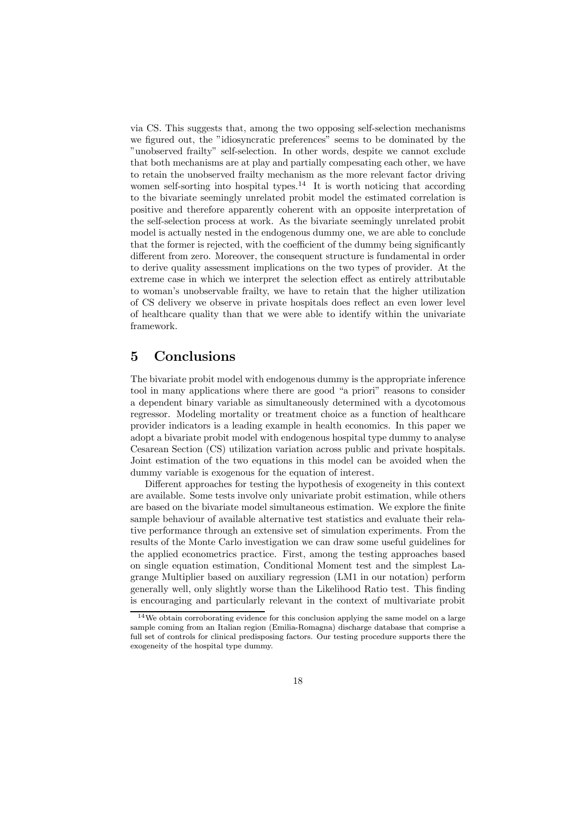via CS. This suggests that, among the two opposing self-selection mechanisms we figured out, the "idiosyncratic preferences" seems to be dominated by the "unobserved frailty" self-selection. In other words, despite we cannot exclude that both mechanisms are at play and partially compesating each other, we have to retain the unobserved frailty mechanism as the more relevant factor driving women self-sorting into hospital types.<sup>14</sup> It is worth noticing that according to the bivariate seemingly unrelated probit model the estimated correlation is positive and therefore apparently coherent with an opposite interpretation of the self-selection process at work. As the bivariate seemingly unrelated probit model is actually nested in the endogenous dummy one, we are able to conclude that the former is rejected, with the coefficient of the dummy being significantly different from zero. Moreover, the consequent structure is fundamental in order to derive quality assessment implications on the two types of provider. At the extreme case in which we interpret the selection effect as entirely attributable to woman's unobservable frailty, we have to retain that the higher utilization of CS delivery we observe in private hospitals does reflect an even lower level of healthcare quality than that we were able to identify within the univariate framework.

### 5 Conclusions

The bivariate probit model with endogenous dummy is the appropriate inference tool in many applications where there are good "a priori" reasons to consider a dependent binary variable as simultaneously determined with a dycotomous regressor. Modeling mortality or treatment choice as a function of healthcare provider indicators is a leading example in health economics. In this paper we adopt a bivariate probit model with endogenous hospital type dummy to analyse Cesarean Section (CS) utilization variation across public and private hospitals. Joint estimation of the two equations in this model can be avoided when the dummy variable is exogenous for the equation of interest.

Different approaches for testing the hypothesis of exogeneity in this context are available. Some tests involve only univariate probit estimation, while others are based on the bivariate model simultaneous estimation. We explore the finite sample behaviour of available alternative test statistics and evaluate their relative performance through an extensive set of simulation experiments. From the results of the Monte Carlo investigation we can draw some useful guidelines for the applied econometrics practice. First, among the testing approaches based on single equation estimation, Conditional Moment test and the simplest Lagrange Multiplier based on auxiliary regression (LM1 in our notation) perform generally well, only slightly worse than the Likelihood Ratio test. This finding is encouraging and particularly relevant in the context of multivariate probit

 $14$ We obtain corroborating evidence for this conclusion applying the same model on a large sample coming from an Italian region (Emilia-Romagna) discharge database that comprise a full set of controls for clinical predisposing factors. Our testing procedure supports there the exogeneity of the hospital type dummy.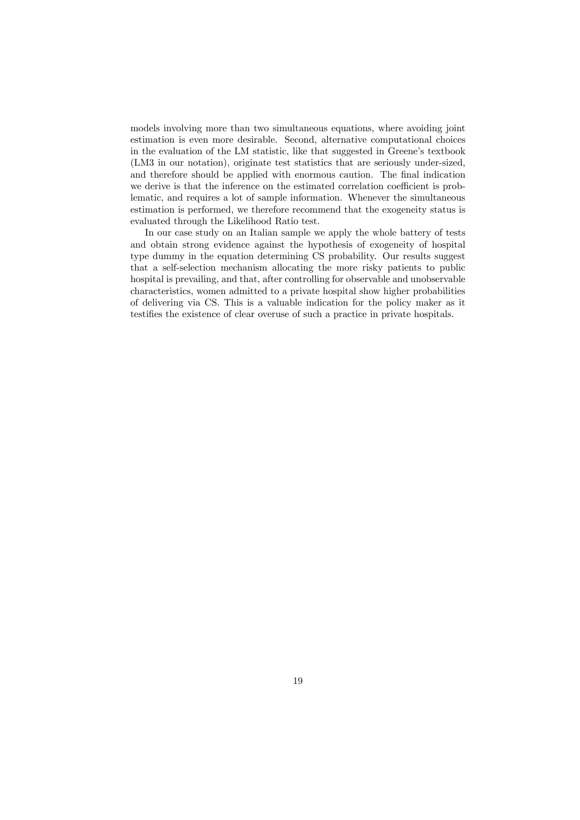models involving more than two simultaneous equations, where avoiding joint estimation is even more desirable. Second, alternative computational choices in the evaluation of the LM statistic, like that suggested in Greene's textbook (LM3 in our notation), originate test statistics that are seriously under-sized, and therefore should be applied with enormous caution. The final indication we derive is that the inference on the estimated correlation coefficient is problematic, and requires a lot of sample information. Whenever the simultaneous estimation is performed, we therefore recommend that the exogeneity status is evaluated through the Likelihood Ratio test.

In our case study on an Italian sample we apply the whole battery of tests and obtain strong evidence against the hypothesis of exogeneity of hospital type dummy in the equation determining CS probability. Our results suggest that a self-selection mechanism allocating the more risky patients to public hospital is prevailing, and that, after controlling for observable and unobservable characteristics, women admitted to a private hospital show higher probabilities of delivering via CS. This is a valuable indication for the policy maker as it testifies the existence of clear overuse of such a practice in private hospitals.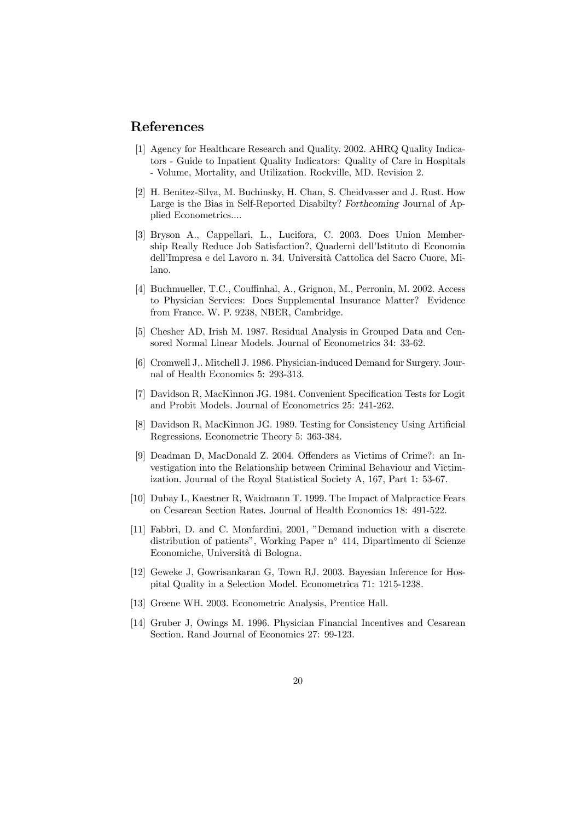### References

- [1] Agency for Healthcare Research and Quality. 2002. AHRQ Quality Indicators - Guide to Inpatient Quality Indicators: Quality of Care in Hospitals - Volume, Mortality, and Utilization. Rockville, MD. Revision 2.
- [2] H. Benitez-Silva, M. Buchinsky, H. Chan, S. Cheidvasser and J. Rust. How Large is the Bias in Self-Reported Disabilty? Forthcoming Journal of Applied Econometrics....
- [3] Bryson A., Cappellari, L., Lucifora, C. 2003. Does Union Membership Really Reduce Job Satisfaction?, Quaderni dell'Istituto di Economia dell'Impresa e del Lavoro n. 34. Universit`a Cattolica del Sacro Cuore, Milano.
- [4] Buchmueller, T.C., Couffinhal, A., Grignon, M., Perronin, M. 2002. Access to Physician Services: Does Supplemental Insurance Matter? Evidence from France. W. P. 9238, NBER, Cambridge.
- [5] Chesher AD, Irish M. 1987. Residual Analysis in Grouped Data and Censored Normal Linear Models. Journal of Econometrics 34: 33-62.
- [6] Cromwell J,. Mitchell J. 1986. Physician-induced Demand for Surgery. Journal of Health Economics 5: 293-313.
- [7] Davidson R, MacKinnon JG. 1984. Convenient Specification Tests for Logit and Probit Models. Journal of Econometrics 25: 241-262.
- [8] Davidson R, MacKinnon JG. 1989. Testing for Consistency Using Artificial Regressions. Econometric Theory 5: 363-384.
- [9] Deadman D, MacDonald Z. 2004. Offenders as Victims of Crime?: an Investigation into the Relationship between Criminal Behaviour and Victimization. Journal of the Royal Statistical Society A, 167, Part 1: 53-67.
- [10] Dubay L, Kaestner R, Waidmann T. 1999. The Impact of Malpractice Fears on Cesarean Section Rates. Journal of Health Economics 18: 491-522.
- [11] Fabbri, D. and C. Monfardini, 2001, "Demand induction with a discrete distribution of patients", Working Paper n◦ 414, Dipartimento di Scienze Economiche, Universit`a di Bologna.
- [12] Geweke J, Gowrisankaran G, Town RJ. 2003. Bayesian Inference for Hospital Quality in a Selection Model. Econometrica 71: 1215-1238.
- [13] Greene WH. 2003. Econometric Analysis, Prentice Hall.
- [14] Gruber J, Owings M. 1996. Physician Financial Incentives and Cesarean Section. Rand Journal of Economics 27: 99-123.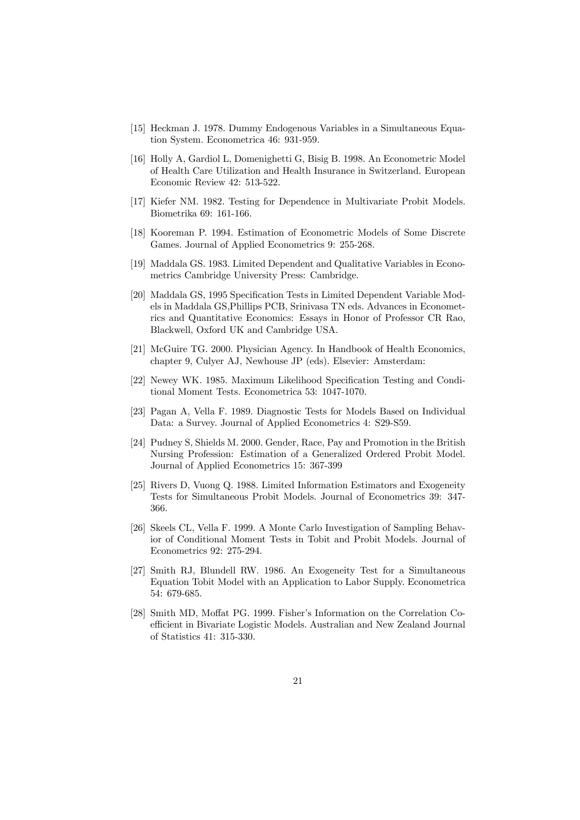- [15] Heckman J. 1978. Dummy Endogenous Variables in a Simultaneous Equation System. Econometrica 46: 931-959.
- [16] Holly A, Gardiol L, Domenighetti G, Bisig B. 1998. An Econometric Model of Health Care Utilization and Health Insurance in Switzerland. European Economic Review 42: 513-522.
- [17] Kiefer NM. 1982. Testing for Dependence in Multivariate Probit Models. Biometrika 69: 161-166.
- [18] Kooreman P. 1994. Estimation of Econometric Models of Some Discrete Games. Journal of Applied Econometrics 9: 255-268.
- [19] Maddala GS. 1983. Limited Dependent and Qualitative Variables in Econometrics Cambridge University Press: Cambridge.
- [20] Maddala GS, 1995 Specification Tests in Limited Dependent Variable Models in Maddala GS,Phillips PCB, Srinivasa TN eds. Advances in Econometrics and Quantitative Economics: Essays in Honor of Professor CR Rao, Blackwell, Oxford UK and Cambridge USA.
- [21] McGuire TG. 2000. Physician Agency. In Handbook of Health Economics, chapter 9, Culyer AJ, Newhouse JP (eds). Elsevier: Amsterdam:
- [22] Newey WK. 1985. Maximum Likelihood Specification Testing and Conditional Moment Tests. Econometrica 53: 1047-1070.
- [23] Pagan A, Vella F. 1989. Diagnostic Tests for Models Based on Individual Data: a Survey. Journal of Applied Econometrics 4: S29-S59.
- [24] Pudney S, Shields M. 2000. Gender, Race, Pay and Promotion in the British Nursing Profession: Estimation of a Generalized Ordered Probit Model. Journal of Applied Econometrics 15: 367-399
- [25] Rivers D, Vuong Q. 1988. Limited Information Estimators and Exogeneity Tests for Simultaneous Probit Models. Journal of Econometrics 39: 347- 366.
- [26] Skeels CL, Vella F. 1999. A Monte Carlo Investigation of Sampling Behavior of Conditional Moment Tests in Tobit and Probit Models. Journal of Econometrics 92: 275-294.
- [27] Smith RJ, Blundell RW. 1986. An Exogeneity Test for a Simultaneous Equation Tobit Model with an Application to Labor Supply. Econometrica 54: 679-685.
- [28] Smith MD, Moffat PG. 1999. Fisher's Information on the Correlation Coefficient in Bivariate Logistic Models. Australian and New Zealand Journal of Statistics 41: 315-330.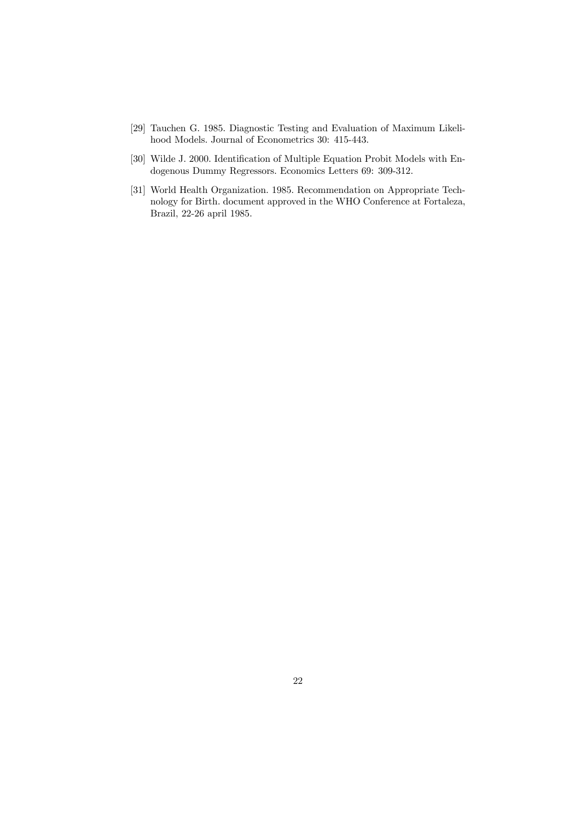- [29] Tauchen G. 1985. Diagnostic Testing and Evaluation of Maximum Likelihood Models. Journal of Econometrics 30: 415-443.
- [30] Wilde J. 2000. Identification of Multiple Equation Probit Models with Endogenous Dummy Regressors. Economics Letters 69: 309-312.
- [31] World Health Organization. 1985. Recommendation on Appropriate Technology for Birth. document approved in the WHO Conference at Fortaleza, Brazil, 22-26 april 1985.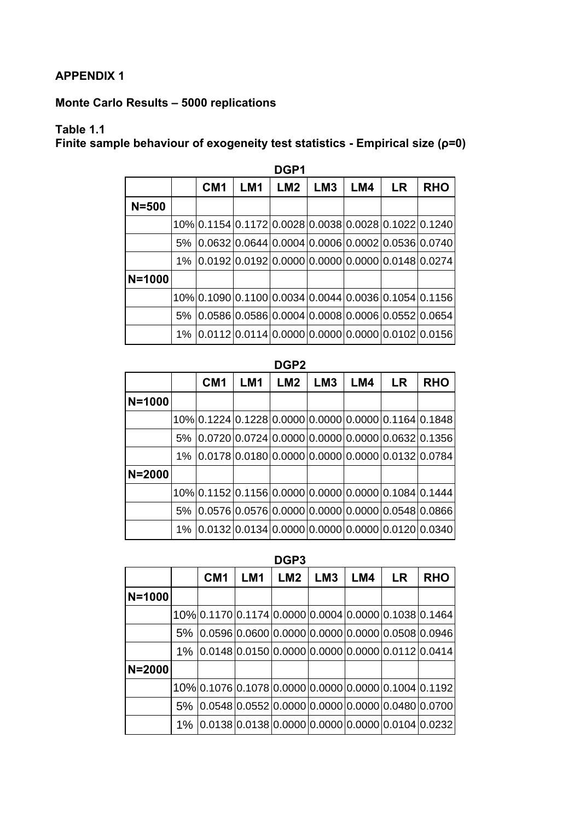## **APPENDIX 1**

## **Monte Carlo Results – 5000 replications**

## **Table 1.1**

**Finite sample behaviour of exogeneity test statistics - Empirical size (ρ=0)**

|            | DGP1  |                 |                 |                 |                 |     |                                                      |                                                  |  |  |  |  |
|------------|-------|-----------------|-----------------|-----------------|-----------------|-----|------------------------------------------------------|--------------------------------------------------|--|--|--|--|
|            |       | CM <sub>1</sub> | LM <sub>1</sub> | LM <sub>2</sub> | LM <sub>3</sub> | LM4 | <b>LR</b>                                            | <b>RHO</b>                                       |  |  |  |  |
| $N = 500$  |       |                 |                 |                 |                 |     |                                                      |                                                  |  |  |  |  |
|            |       |                 |                 |                 |                 |     | 10% 0.1154 0.1172 0.0028 0.0038 0.0028 0.1022 0.1240 |                                                  |  |  |  |  |
|            | 5%    |                 |                 |                 |                 |     | $0.0632 0.0644 0.0004 0.0006 0.0002 0.0536 0.0740$   |                                                  |  |  |  |  |
|            |       |                 |                 |                 |                 |     | 1% 0.0192 0.0192 0.0000 0.0000 0.0000 0.0148 0.0274  |                                                  |  |  |  |  |
| $N = 1000$ |       |                 |                 |                 |                 |     |                                                      |                                                  |  |  |  |  |
|            |       |                 |                 |                 |                 |     | 10% 0.1090 0.1100 0.0034 0.0044 0.0036 0.1054 0.1156 |                                                  |  |  |  |  |
|            | 5%    |                 |                 |                 |                 |     | $0.0586 0.0586 0.0004 0.0008 0.0006 0.0552 0.0654$   |                                                  |  |  |  |  |
|            | $1\%$ |                 |                 |                 |                 |     |                                                      | 0.0112 0.0114 0.0000 0.0000 0.0000 0.0102 0.0156 |  |  |  |  |

**DGP1** 

### **DGP2**

|            |       | CM <sub>1</sub> | LM <sub>1</sub> | LM2 | LM <sub>3</sub> | LM4 | <b>LR</b>                                            | <b>RHO</b> |
|------------|-------|-----------------|-----------------|-----|-----------------|-----|------------------------------------------------------|------------|
| $N = 1000$ |       |                 |                 |     |                 |     |                                                      |            |
|            |       |                 |                 |     |                 |     | 10% 0.1224 0.1228 0.0000 0.0000 0.0000 0.1164 0.1848 |            |
|            | 5%    |                 |                 |     |                 |     | $0.0720 0.0724 0.0000 0.0000 0.0000 0.0632 0.1356$   |            |
|            | $1\%$ |                 |                 |     |                 |     | $ 0.0178 0.0180 0.0000 0.0000 0.0000 0.0132 0.0784$  |            |
| $N = 2000$ |       |                 |                 |     |                 |     |                                                      |            |
|            |       |                 |                 |     |                 |     | 10% 0.1152 0.1156 0.0000 0.0000 0.0000 0.1084 0.1444 |            |
|            | 5%    |                 |                 |     |                 |     | $0.0576 0.0576 0.0000 0.0000 0.0000 0.0548 0.0866$   |            |
|            | $1\%$ |                 |                 |     |                 |     | $ 0.0132 0.0134 0.0000 0.0000 0.0000 0.0120 0.0340 $ |            |

**DGP3** 

|            |       | CM <sub>1</sub> | LM <sub>1</sub>                                      | LM <sub>2</sub> | LM <sub>3</sub> | LM4 | <b>LR</b> | <b>RHO</b>                                           |
|------------|-------|-----------------|------------------------------------------------------|-----------------|-----------------|-----|-----------|------------------------------------------------------|
| $N = 1000$ |       |                 |                                                      |                 |                 |     |           |                                                      |
|            |       |                 | 10% 0.1170 0.1174 0.0000 0.0004 0.0000 0.1038 0.1464 |                 |                 |     |           |                                                      |
|            | 5%    |                 | $ 0.0596 0.0600 0.0000 0.0000 0.0000 0.0508 0.0946$  |                 |                 |     |           |                                                      |
|            | $1\%$ |                 | $ 0.0148 0.0150 0.0000 0.0000 0.0000 0.0112 0.0414$  |                 |                 |     |           |                                                      |
| $N = 2000$ |       |                 |                                                      |                 |                 |     |           |                                                      |
|            |       |                 |                                                      |                 |                 |     |           | 10% 0.1076 0.1078 0.0000 0.0000 0.0000 0.1004 0.1192 |
|            | 5%    |                 | $0.0548 0.0552 0.0000 0.0000 0.0000 0.0480 0.0700$   |                 |                 |     |           |                                                      |
|            | $1\%$ |                 | 0.0138 0.0138 0.0000 0.0000 0.0000 0.0104 0.0232     |                 |                 |     |           |                                                      |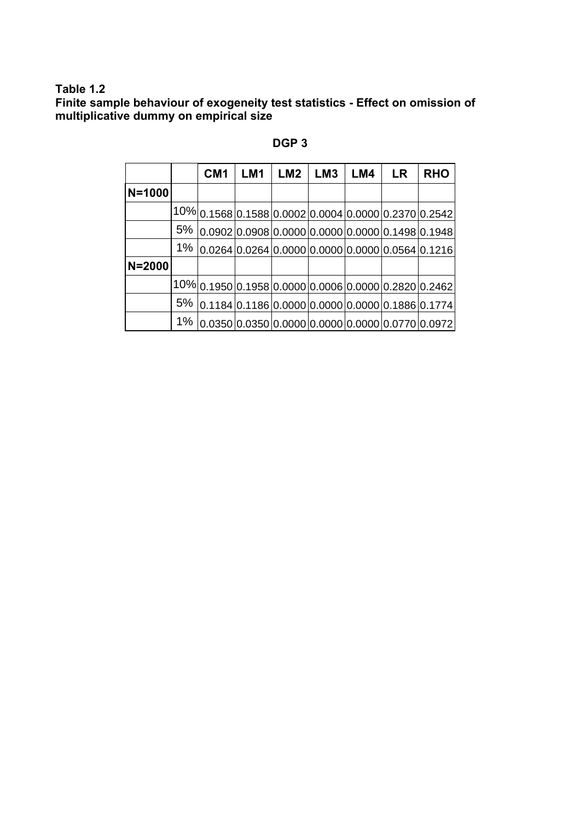### **Table 1.2**

**Finite sample behaviour of exogeneity test statistics - Effect on omission of multiplicative dummy on empirical size** 

|        |       | CM <sub>1</sub> | LM1                                                 | LM2 | LM <sub>3</sub> | LM4 | <b>LR</b> | <b>RHO</b>                                           |
|--------|-------|-----------------|-----------------------------------------------------|-----|-----------------|-----|-----------|------------------------------------------------------|
| N=1000 |       |                 |                                                     |     |                 |     |           |                                                      |
|        |       |                 |                                                     |     |                 |     |           | 10% 0.1568 0.1588 0.0002 0.0004 0.0000 0.2370 0.2542 |
|        | 5%    |                 |                                                     |     |                 |     |           | $ 0.0902 0.0908 0.0000 0.0000 0.0000 0.1498 0.1948 $ |
|        |       |                 |                                                     |     |                 |     |           | 1% 0.0264 0.0264 0.0000 0.0000 0.0000 0.0564 0.1216  |
| N=2000 |       |                 |                                                     |     |                 |     |           |                                                      |
|        |       |                 |                                                     |     |                 |     |           | 10% 0.1950 0.1958 0.0000 0.0006 0.0000 0.2820 0.2462 |
|        |       |                 | 5% 0.1184 0.1186 0.0000 0.0000 0.0000 0.1886 0.1774 |     |                 |     |           |                                                      |
|        | $1\%$ |                 |                                                     |     |                 |     |           | $0.0350 0.0350 0.0000 0.0000 0.0000 0.0770 0.0972 $  |

## **DGP 3**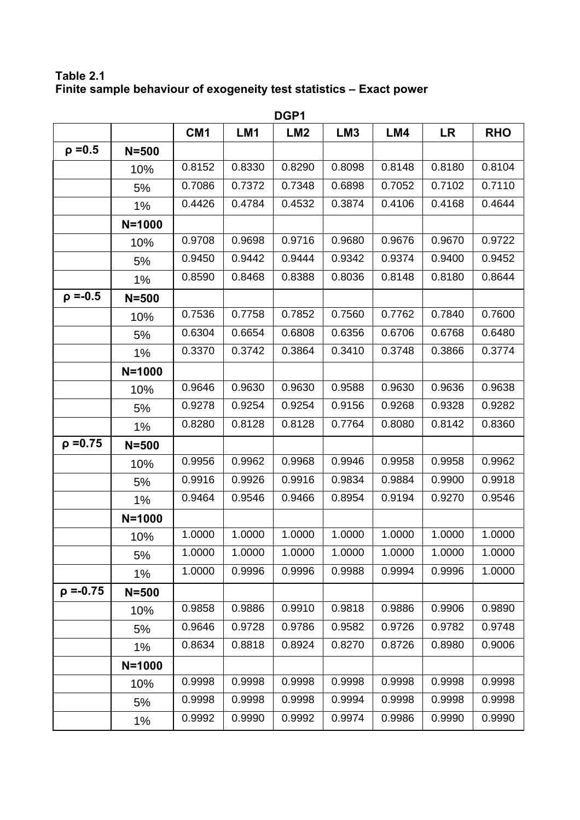**Table 2.1 Finite sample behaviour of exogeneity test statistics – Exact power** 

|                | DGP1       |                 |        |                 |                 |        |           |            |  |  |
|----------------|------------|-----------------|--------|-----------------|-----------------|--------|-----------|------------|--|--|
|                |            | CM <sub>1</sub> | LM1    | LM <sub>2</sub> | LM <sub>3</sub> | LM4    | <b>LR</b> | <b>RHO</b> |  |  |
| $\rho = 0.5$   | $N = 500$  |                 |        |                 |                 |        |           |            |  |  |
|                | 10%        | 0.8152          | 0.8330 | 0.8290          | 0.8098          | 0.8148 | 0.8180    | 0.8104     |  |  |
|                | 5%         | 0.7086          | 0.7372 | 0.7348          | 0.6898          | 0.7052 | 0.7102    | 0.7110     |  |  |
|                | 1%         | 0.4426          | 0.4784 | 0.4532          | 0.3874          | 0.4106 | 0.4168    | 0.4644     |  |  |
|                | $N = 1000$ |                 |        |                 |                 |        |           |            |  |  |
|                | 10%        | 0.9708          | 0.9698 | 0.9716          | 0.9680          | 0.9676 | 0.9670    | 0.9722     |  |  |
|                | 5%         | 0.9450          | 0.9442 | 0.9444          | 0.9342          | 0.9374 | 0.9400    | 0.9452     |  |  |
|                | 1%         | 0.8590          | 0.8468 | 0.8388          | 0.8036          | 0.8148 | 0.8180    | 0.8644     |  |  |
| $\rho = -0.5$  | $N = 500$  |                 |        |                 |                 |        |           |            |  |  |
|                | 10%        | 0.7536          | 0.7758 | 0.7852          | 0.7560          | 0.7762 | 0.7840    | 0.7600     |  |  |
|                | 5%         | 0.6304          | 0.6654 | 0.6808          | 0.6356          | 0.6706 | 0.6768    | 0.6480     |  |  |
|                | 1%         | 0.3370          | 0.3742 | 0.3864          | 0.3410          | 0.3748 | 0.3866    | 0.3774     |  |  |
|                | $N = 1000$ |                 |        |                 |                 |        |           |            |  |  |
|                | 10%        | 0.9646          | 0.9630 | 0.9630          | 0.9588          | 0.9630 | 0.9636    | 0.9638     |  |  |
|                | 5%         | 0.9278          | 0.9254 | 0.9254          | 0.9156          | 0.9268 | 0.9328    | 0.9282     |  |  |
|                | $1\%$      | 0.8280          | 0.8128 | 0.8128          | 0.7764          | 0.8080 | 0.8142    | 0.8360     |  |  |
| $\rho = 0.75$  | $N = 500$  |                 |        |                 |                 |        |           |            |  |  |
|                | 10%        | 0.9956          | 0.9962 | 0.9968          | 0.9946          | 0.9958 | 0.9958    | 0.9962     |  |  |
|                | 5%         | 0.9916          | 0.9926 | 0.9916          | 0.9834          | 0.9884 | 0.9900    | 0.9918     |  |  |
|                | $1\%$      | 0.9464          | 0.9546 | 0.9466          | 0.8954          | 0.9194 | 0.9270    | 0.9546     |  |  |
|                | $N = 1000$ |                 |        |                 |                 |        |           |            |  |  |
|                | 10%        | 1.0000          | 1.0000 | 1.0000          | 1.0000          | 1.0000 | 1.0000    | 1.0000     |  |  |
|                | 5%         | 1.0000          | 1.0000 | 1.0000          | 1.0000          | 1.0000 | 1.0000    | 1.0000     |  |  |
|                | $1\%$      | 1.0000          | 0.9996 | 0.9996          | 0.9988          | 0.9994 | 0.9996    | 1.0000     |  |  |
| $\rho = -0.75$ | $N = 500$  |                 |        |                 |                 |        |           |            |  |  |
|                | 10%        | 0.9858          | 0.9886 | 0.9910          | 0.9818          | 0.9886 | 0.9906    | 0.9890     |  |  |
|                | 5%         | 0.9646          | 0.9728 | 0.9786          | 0.9582          | 0.9726 | 0.9782    | 0.9748     |  |  |
|                | $1\%$      | 0.8634          | 0.8818 | 0.8924          | 0.8270          | 0.8726 | 0.8980    | 0.9006     |  |  |
|                | $N = 1000$ |                 |        |                 |                 |        |           |            |  |  |
|                | 10%        | 0.9998          | 0.9998 | 0.9998          | 0.9998          | 0.9998 | 0.9998    | 0.9998     |  |  |
|                | 5%         | 0.9998          | 0.9998 | 0.9998          | 0.9994          | 0.9998 | 0.9998    | 0.9998     |  |  |
|                | $1\%$      | 0.9992          | 0.9990 | 0.9992          | 0.9974          | 0.9986 | 0.9990    | 0.9990     |  |  |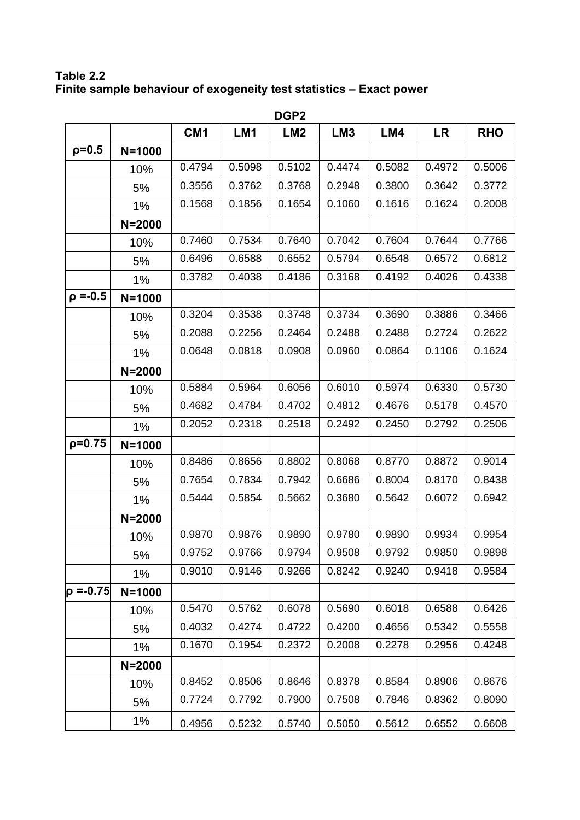**Table 2.2 Finite sample behaviour of exogeneity test statistics – Exact power** 

|                | DGP <sub>2</sub> |        |        |                 |                 |        |           |            |  |  |  |
|----------------|------------------|--------|--------|-----------------|-----------------|--------|-----------|------------|--|--|--|
|                |                  | CM1    | LM1    | LM <sub>2</sub> | LM <sub>3</sub> | LM4    | <b>LR</b> | <b>RHO</b> |  |  |  |
| $p=0.5$        | $N = 1000$       |        |        |                 |                 |        |           |            |  |  |  |
|                | 10%              | 0.4794 | 0.5098 | 0.5102          | 0.4474          | 0.5082 | 0.4972    | 0.5006     |  |  |  |
|                | 5%               | 0.3556 | 0.3762 | 0.3768          | 0.2948          | 0.3800 | 0.3642    | 0.3772     |  |  |  |
|                | 1%               | 0.1568 | 0.1856 | 0.1654          | 0.1060          | 0.1616 | 0.1624    | 0.2008     |  |  |  |
|                | $N = 2000$       |        |        |                 |                 |        |           |            |  |  |  |
|                | 10%              | 0.7460 | 0.7534 | 0.7640          | 0.7042          | 0.7604 | 0.7644    | 0.7766     |  |  |  |
|                | 5%               | 0.6496 | 0.6588 | 0.6552          | 0.5794          | 0.6548 | 0.6572    | 0.6812     |  |  |  |
|                | 1%               | 0.3782 | 0.4038 | 0.4186          | 0.3168          | 0.4192 | 0.4026    | 0.4338     |  |  |  |
| $\rho = -0.5$  | $N = 1000$       |        |        |                 |                 |        |           |            |  |  |  |
|                | 10%              | 0.3204 | 0.3538 | 0.3748          | 0.3734          | 0.3690 | 0.3886    | 0.3466     |  |  |  |
|                | 5%               | 0.2088 | 0.2256 | 0.2464          | 0.2488          | 0.2488 | 0.2724    | 0.2622     |  |  |  |
|                | 1%               | 0.0648 | 0.0818 | 0.0908          | 0.0960          | 0.0864 | 0.1106    | 0.1624     |  |  |  |
|                | $N = 2000$       |        |        |                 |                 |        |           |            |  |  |  |
|                | 10%              | 0.5884 | 0.5964 | 0.6056          | 0.6010          | 0.5974 | 0.6330    | 0.5730     |  |  |  |
|                | 5%               | 0.4682 | 0.4784 | 0.4702          | 0.4812          | 0.4676 | 0.5178    | 0.4570     |  |  |  |
|                | 1%               | 0.2052 | 0.2318 | 0.2518          | 0.2492          | 0.2450 | 0.2792    | 0.2506     |  |  |  |
| $p=0.75$       | $N = 1000$       |        |        |                 |                 |        |           |            |  |  |  |
|                | 10%              | 0.8486 | 0.8656 | 0.8802          | 0.8068          | 0.8770 | 0.8872    | 0.9014     |  |  |  |
|                | 5%               | 0.7654 | 0.7834 | 0.7942          | 0.6686          | 0.8004 | 0.8170    | 0.8438     |  |  |  |
|                | 1%               | 0.5444 | 0.5854 | 0.5662          | 0.3680          | 0.5642 | 0.6072    | 0.6942     |  |  |  |
|                | $N = 2000$       |        |        |                 |                 |        |           |            |  |  |  |
|                | 10%              | 0.9870 | 0.9876 | 0.9890          | 0.9780          | 0.9890 | 0.9934    | 0.9954     |  |  |  |
|                | 5%               | 0.9752 | 0.9766 | 0.9794          | 0.9508          | 0.9792 | 0.9850    | 0.9898     |  |  |  |
|                | $1\%$            | 0.9010 | 0.9146 | 0.9266          | 0.8242          | 0.9240 | 0.9418    | 0.9584     |  |  |  |
| $\rho = -0.75$ | $N = 1000$       |        |        |                 |                 |        |           |            |  |  |  |
|                | 10%              | 0.5470 | 0.5762 | 0.6078          | 0.5690          | 0.6018 | 0.6588    | 0.6426     |  |  |  |
|                | 5%               | 0.4032 | 0.4274 | 0.4722          | 0.4200          | 0.4656 | 0.5342    | 0.5558     |  |  |  |
|                | $1\%$            | 0.1670 | 0.1954 | 0.2372          | 0.2008          | 0.2278 | 0.2956    | 0.4248     |  |  |  |
|                | $N = 2000$       |        |        |                 |                 |        |           |            |  |  |  |
|                | 10%              | 0.8452 | 0.8506 | 0.8646          | 0.8378          | 0.8584 | 0.8906    | 0.8676     |  |  |  |
|                | 5%               | 0.7724 | 0.7792 | 0.7900          | 0.7508          | 0.7846 | 0.8362    | 0.8090     |  |  |  |
|                | $1\%$            | 0.4956 | 0.5232 | 0.5740          | 0.5050          | 0.5612 | 0.6552    | 0.6608     |  |  |  |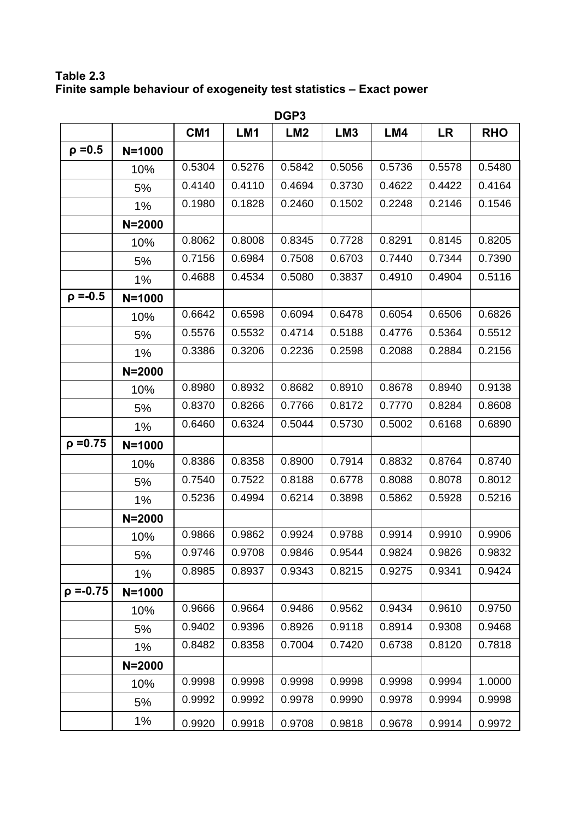**Table 2.3 Finite sample behaviour of exogeneity test statistics – Exact power** 

|                | DGP3       |                 |        |                 |                 |        |           |            |  |  |
|----------------|------------|-----------------|--------|-----------------|-----------------|--------|-----------|------------|--|--|
|                |            | CM <sub>1</sub> | LM1    | LM <sub>2</sub> | LM <sub>3</sub> | LM4    | <b>LR</b> | <b>RHO</b> |  |  |
| $\rho = 0.5$   | $N = 1000$ |                 |        |                 |                 |        |           |            |  |  |
|                | 10%        | 0.5304          | 0.5276 | 0.5842          | 0.5056          | 0.5736 | 0.5578    | 0.5480     |  |  |
|                | 5%         | 0.4140          | 0.4110 | 0.4694          | 0.3730          | 0.4622 | 0.4422    | 0.4164     |  |  |
|                | 1%         | 0.1980          | 0.1828 | 0.2460          | 0.1502          | 0.2248 | 0.2146    | 0.1546     |  |  |
|                | $N = 2000$ |                 |        |                 |                 |        |           |            |  |  |
|                | 10%        | 0.8062          | 0.8008 | 0.8345          | 0.7728          | 0.8291 | 0.8145    | 0.8205     |  |  |
|                | 5%         | 0.7156          | 0.6984 | 0.7508          | 0.6703          | 0.7440 | 0.7344    | 0.7390     |  |  |
|                | 1%         | 0.4688          | 0.4534 | 0.5080          | 0.3837          | 0.4910 | 0.4904    | 0.5116     |  |  |
| $\rho = -0.5$  | $N = 1000$ |                 |        |                 |                 |        |           |            |  |  |
|                | 10%        | 0.6642          | 0.6598 | 0.6094          | 0.6478          | 0.6054 | 0.6506    | 0.6826     |  |  |
|                | 5%         | 0.5576          | 0.5532 | 0.4714          | 0.5188          | 0.4776 | 0.5364    | 0.5512     |  |  |
|                | 1%         | 0.3386          | 0.3206 | 0.2236          | 0.2598          | 0.2088 | 0.2884    | 0.2156     |  |  |
|                | $N = 2000$ |                 |        |                 |                 |        |           |            |  |  |
|                | 10%        | 0.8980          | 0.8932 | 0.8682          | 0.8910          | 0.8678 | 0.8940    | 0.9138     |  |  |
|                | 5%         | 0.8370          | 0.8266 | 0.7766          | 0.8172          | 0.7770 | 0.8284    | 0.8608     |  |  |
|                | $1\%$      | 0.6460          | 0.6324 | 0.5044          | 0.5730          | 0.5002 | 0.6168    | 0.6890     |  |  |
| $\rho = 0.75$  | $N = 1000$ |                 |        |                 |                 |        |           |            |  |  |
|                | 10%        | 0.8386          | 0.8358 | 0.8900          | 0.7914          | 0.8832 | 0.8764    | 0.8740     |  |  |
|                | 5%         | 0.7540          | 0.7522 | 0.8188          | 0.6778          | 0.8088 | 0.8078    | 0.8012     |  |  |
|                | 1%         | 0.5236          | 0.4994 | 0.6214          | 0.3898          | 0.5862 | 0.5928    | 0.5216     |  |  |
|                | $N = 2000$ |                 |        |                 |                 |        |           |            |  |  |
|                | 10%        | 0.9866          | 0.9862 | 0.9924          | 0.9788          | 0.9914 | 0.9910    | 0.9906     |  |  |
|                | 5%         | 0.9746          | 0.9708 | 0.9846          | 0.9544          | 0.9824 | 0.9826    | 0.9832     |  |  |
|                | $1\%$      | 0.8985          | 0.8937 | 0.9343          | 0.8215          | 0.9275 | 0.9341    | 0.9424     |  |  |
| $\rho = -0.75$ | $N = 1000$ |                 |        |                 |                 |        |           |            |  |  |
|                | 10%        | 0.9666          | 0.9664 | 0.9486          | 0.9562          | 0.9434 | 0.9610    | 0.9750     |  |  |
|                | 5%         | 0.9402          | 0.9396 | 0.8926          | 0.9118          | 0.8914 | 0.9308    | 0.9468     |  |  |
|                | $1\%$      | 0.8482          | 0.8358 | 0.7004          | 0.7420          | 0.6738 | 0.8120    | 0.7818     |  |  |
|                | $N = 2000$ |                 |        |                 |                 |        |           |            |  |  |
|                | 10%        | 0.9998          | 0.9998 | 0.9998          | 0.9998          | 0.9998 | 0.9994    | 1.0000     |  |  |
|                | 5%         | 0.9992          | 0.9992 | 0.9978          | 0.9990          | 0.9978 | 0.9994    | 0.9998     |  |  |
|                | $1\%$      | 0.9920          | 0.9918 | 0.9708          | 0.9818          | 0.9678 | 0.9914    | 0.9972     |  |  |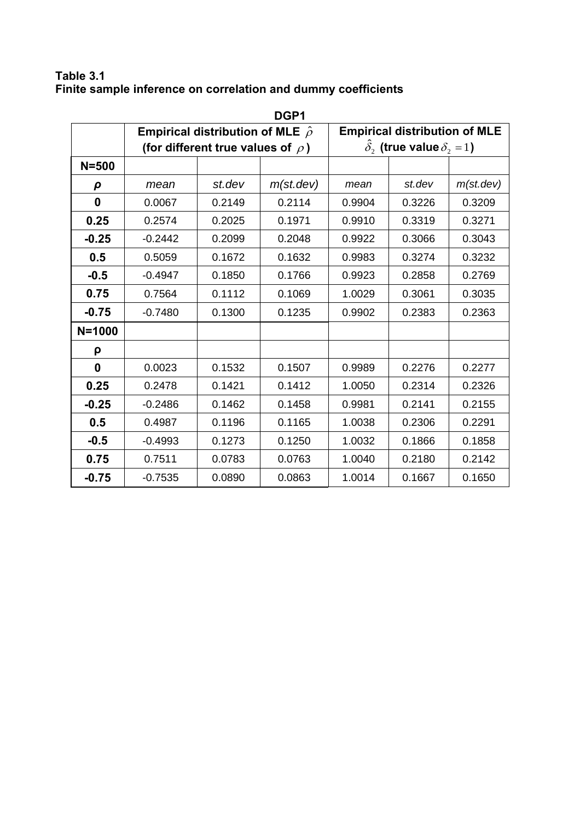## **Table 3.1 Finite sample inference on correlation and dummy coefficients**

|              | DGP1      |                                            |           |        |                                        |           |  |  |  |  |
|--------------|-----------|--------------------------------------------|-----------|--------|----------------------------------------|-----------|--|--|--|--|
|              |           | Empirical distribution of MLE $\hat{\rho}$ |           |        | <b>Empirical distribution of MLE</b>   |           |  |  |  |  |
|              |           | (for different true values of $\rho$ )     |           |        | $\delta$ , (true value $\delta$ , = 1) |           |  |  |  |  |
| $N = 500$    |           |                                            |           |        |                                        |           |  |  |  |  |
| ρ            | mean      | st.dev                                     | m(st.dev) | mean   | st.dev                                 | m(st.dev) |  |  |  |  |
| $\mathbf 0$  | 0.0067    | 0.2149                                     | 0.2114    | 0.9904 | 0.3226                                 | 0.3209    |  |  |  |  |
| 0.25         | 0.2574    | 0.2025                                     | 0.1971    | 0.9910 | 0.3319                                 | 0.3271    |  |  |  |  |
| $-0.25$      | $-0.2442$ | 0.2099                                     | 0.2048    | 0.9922 | 0.3066                                 | 0.3043    |  |  |  |  |
| 0.5          | 0.5059    | 0.1672                                     | 0.1632    | 0.9983 | 0.3274                                 | 0.3232    |  |  |  |  |
| $-0.5$       | $-0.4947$ | 0.1850                                     | 0.1766    | 0.9923 | 0.2858                                 | 0.2769    |  |  |  |  |
| 0.75         | 0.7564    | 0.1112                                     | 0.1069    | 1.0029 | 0.3061                                 | 0.3035    |  |  |  |  |
| $-0.75$      | $-0.7480$ | 0.1300                                     | 0.1235    | 0.9902 | 0.2383                                 | 0.2363    |  |  |  |  |
| $N = 1000$   |           |                                            |           |        |                                        |           |  |  |  |  |
| ρ            |           |                                            |           |        |                                        |           |  |  |  |  |
| $\mathbf{0}$ | 0.0023    | 0.1532                                     | 0.1507    | 0.9989 | 0.2276                                 | 0.2277    |  |  |  |  |
| 0.25         | 0.2478    | 0.1421                                     | 0.1412    | 1.0050 | 0.2314                                 | 0.2326    |  |  |  |  |
| $-0.25$      | $-0.2486$ | 0.1462                                     | 0.1458    | 0.9981 | 0.2141                                 | 0.2155    |  |  |  |  |
| 0.5          | 0.4987    | 0.1196                                     | 0.1165    | 1.0038 | 0.2306                                 | 0.2291    |  |  |  |  |
| $-0.5$       | $-0.4993$ | 0.1273                                     | 0.1250    | 1.0032 | 0.1866                                 | 0.1858    |  |  |  |  |
| 0.75         | 0.7511    | 0.0783                                     | 0.0763    | 1.0040 | 0.2180                                 | 0.2142    |  |  |  |  |
| $-0.75$      | $-0.7535$ | 0.0890                                     | 0.0863    | 1.0014 | 0.1667                                 | 0.1650    |  |  |  |  |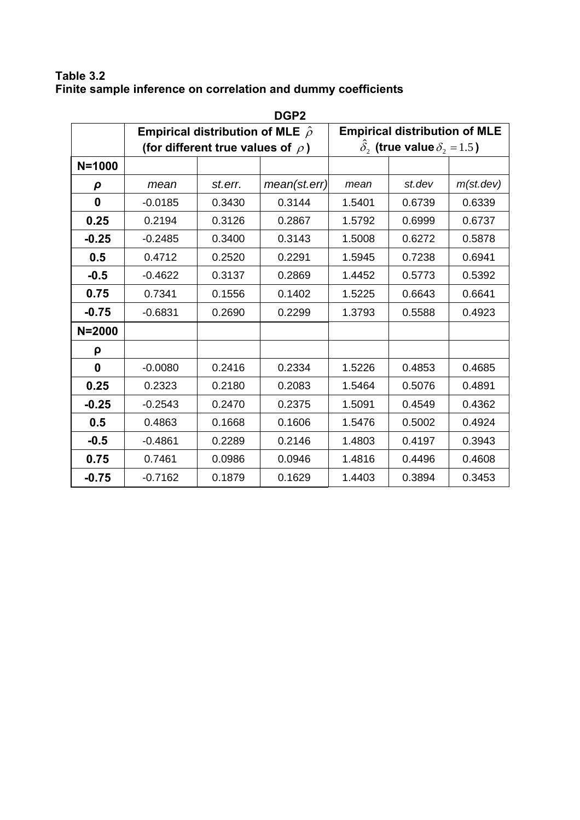## **Table 3.2 Finite sample inference on correlation and dummy coefficients**

| DGP <sub>2</sub> |           |                                            |              |                                                     |                                      |           |  |  |  |
|------------------|-----------|--------------------------------------------|--------------|-----------------------------------------------------|--------------------------------------|-----------|--|--|--|
|                  |           | Empirical distribution of MLE $\hat{\rho}$ |              |                                                     | <b>Empirical distribution of MLE</b> |           |  |  |  |
|                  |           | (for different true values of $\rho$ )     |              | $\delta$ , (true value $\delta$ <sub>2</sub> = 1.5) |                                      |           |  |  |  |
| $N = 1000$       |           |                                            |              |                                                     |                                      |           |  |  |  |
| $\rho$           | mean      | st.err.                                    | mean(st.err) | mean                                                | st.dev                               | m(st.dev) |  |  |  |
| $\mathbf 0$      | $-0.0185$ | 0.3430                                     | 0.3144       | 1.5401                                              | 0.6739                               | 0.6339    |  |  |  |
| 0.25             | 0.2194    | 0.3126                                     | 0.2867       | 1.5792                                              | 0.6999                               | 0.6737    |  |  |  |
| $-0.25$          | $-0.2485$ | 0.3400                                     | 0.3143       | 1.5008                                              | 0.6272                               | 0.5878    |  |  |  |
| 0.5              | 0.4712    | 0.2520                                     | 0.2291       | 1.5945                                              | 0.7238                               | 0.6941    |  |  |  |
| $-0.5$           | $-0.4622$ | 0.3137                                     | 0.2869       | 1.4452                                              | 0.5773                               | 0.5392    |  |  |  |
| 0.75             | 0.7341    | 0.1556                                     | 0.1402       | 1.5225                                              | 0.6643                               | 0.6641    |  |  |  |
| $-0.75$          | $-0.6831$ | 0.2690                                     | 0.2299       | 1.3793                                              | 0.5588                               | 0.4923    |  |  |  |
| $N = 2000$       |           |                                            |              |                                                     |                                      |           |  |  |  |
| ρ                |           |                                            |              |                                                     |                                      |           |  |  |  |
| $\mathbf{0}$     | $-0.0080$ | 0.2416                                     | 0.2334       | 1.5226                                              | 0.4853                               | 0.4685    |  |  |  |
| 0.25             | 0.2323    | 0.2180                                     | 0.2083       | 1.5464                                              | 0.5076                               | 0.4891    |  |  |  |
| $-0.25$          | $-0.2543$ | 0.2470                                     | 0.2375       | 1.5091                                              | 0.4549                               | 0.4362    |  |  |  |
| 0.5              | 0.4863    | 0.1668                                     | 0.1606       | 1.5476                                              | 0.5002                               | 0.4924    |  |  |  |
| $-0.5$           | $-0.4861$ | 0.2289                                     | 0.2146       | 1.4803                                              | 0.4197                               | 0.3943    |  |  |  |
| 0.75             | 0.7461    | 0.0986                                     | 0.0946       | 1.4816                                              | 0.4496                               | 0.4608    |  |  |  |
| $-0.75$          | $-0.7162$ | 0.1879                                     | 0.1629       | 1.4403                                              | 0.3894                               | 0.3453    |  |  |  |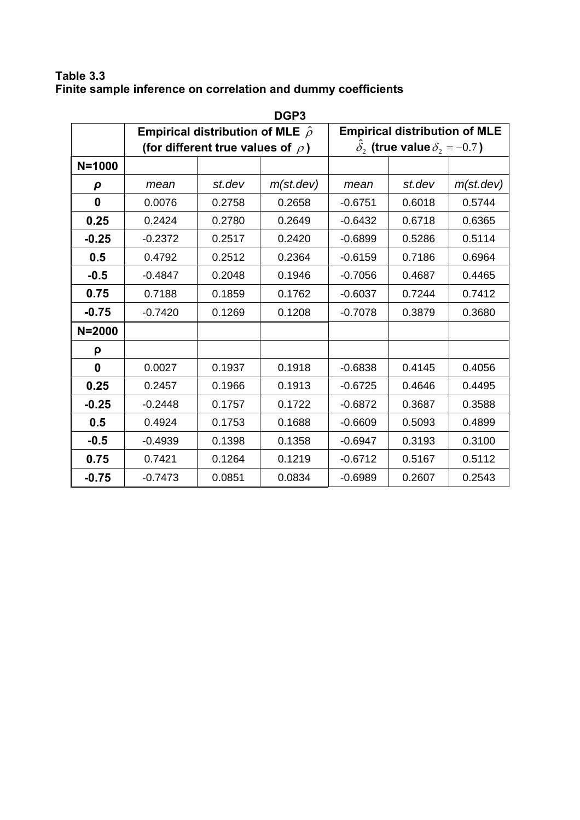## **Table 3.3 Finite sample inference on correlation and dummy coefficients**

|              | DGP3      |                                            |           |           |                                            |           |  |  |  |  |
|--------------|-----------|--------------------------------------------|-----------|-----------|--------------------------------------------|-----------|--|--|--|--|
|              |           | Empirical distribution of MLE $\hat{\rho}$ |           |           | <b>Empirical distribution of MLE</b>       |           |  |  |  |  |
|              |           | (for different true values of $\rho$ )     |           |           | $\delta_2$ (true value $\delta_2 = -0.7$ ) |           |  |  |  |  |
| $N = 1000$   |           |                                            |           |           |                                            |           |  |  |  |  |
| $\rho$       | mean      | st.dev                                     | m(st.dev) | mean      | st.dev                                     | m(st.dev) |  |  |  |  |
| $\mathbf 0$  | 0.0076    | 0.2758                                     | 0.2658    | $-0.6751$ | 0.6018                                     | 0.5744    |  |  |  |  |
| 0.25         | 0.2424    | 0.2780                                     | 0.2649    | $-0.6432$ | 0.6718                                     | 0.6365    |  |  |  |  |
| $-0.25$      | $-0.2372$ | 0.2517                                     | 0.2420    | $-0.6899$ | 0.5286                                     | 0.5114    |  |  |  |  |
| 0.5          | 0.4792    | 0.2512                                     | 0.2364    | $-0.6159$ | 0.7186                                     | 0.6964    |  |  |  |  |
| $-0.5$       | $-0.4847$ | 0.2048                                     | 0.1946    | $-0.7056$ | 0.4687                                     | 0.4465    |  |  |  |  |
| 0.75         | 0.7188    | 0.1859                                     | 0.1762    | $-0.6037$ | 0.7244                                     | 0.7412    |  |  |  |  |
| $-0.75$      | $-0.7420$ | 0.1269                                     | 0.1208    | $-0.7078$ | 0.3879                                     | 0.3680    |  |  |  |  |
| $N = 2000$   |           |                                            |           |           |                                            |           |  |  |  |  |
| ρ            |           |                                            |           |           |                                            |           |  |  |  |  |
| $\mathbf{0}$ | 0.0027    | 0.1937                                     | 0.1918    | $-0.6838$ | 0.4145                                     | 0.4056    |  |  |  |  |
| 0.25         | 0.2457    | 0.1966                                     | 0.1913    | $-0.6725$ | 0.4646                                     | 0.4495    |  |  |  |  |
| $-0.25$      | $-0.2448$ | 0.1757                                     | 0.1722    | $-0.6872$ | 0.3687                                     | 0.3588    |  |  |  |  |
| 0.5          | 0.4924    | 0.1753                                     | 0.1688    | $-0.6609$ | 0.5093                                     | 0.4899    |  |  |  |  |
| $-0.5$       | $-0.4939$ | 0.1398                                     | 0.1358    | $-0.6947$ | 0.3193                                     | 0.3100    |  |  |  |  |
| 0.75         | 0.7421    | 0.1264                                     | 0.1219    | $-0.6712$ | 0.5167                                     | 0.5112    |  |  |  |  |
| $-0.75$      | $-0.7473$ | 0.0851                                     | 0.0834    | $-0.6989$ | 0.2607                                     | 0.2543    |  |  |  |  |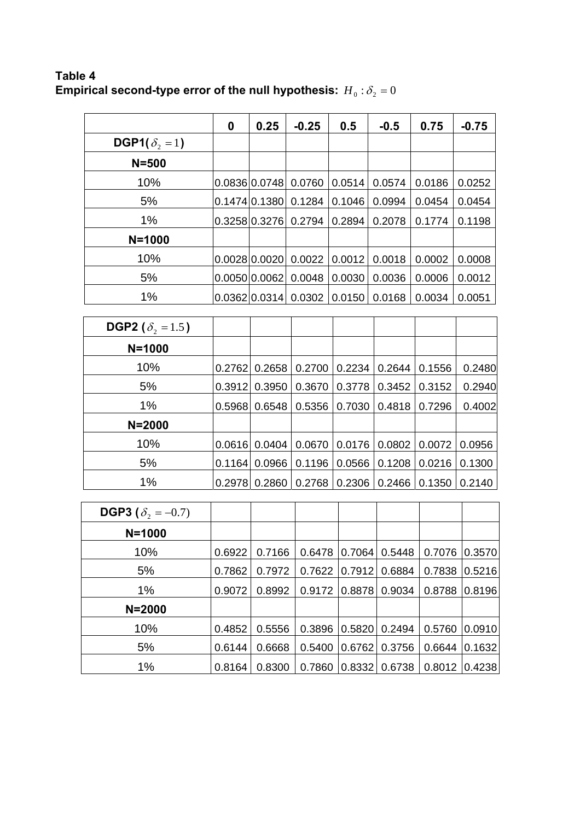**Table 4**  Empirical second-type error of the null hypothesis:  $\,H_{\,0}$   $:$   $\delta_{2}$   $=$   $0$ 

|                                  | 0 | 0.25          | $-0.25$ | 0.5    | $-0.5$ | 0.75   | $-0.75$ |
|----------------------------------|---|---------------|---------|--------|--------|--------|---------|
| DGP1( $\delta$ <sub>2</sub> = 1) |   |               |         |        |        |        |         |
| $N = 500$                        |   |               |         |        |        |        |         |
| 10%                              |   | 0.0836 0.0748 | 0.0760  | 0.0514 | 0.0574 | 0.0186 | 0.0252  |
| 5%                               |   | 0.1474 0.1380 | 0.1284  | 0.1046 | 0.0994 | 0.0454 | 0.0454  |
| 1%                               |   | 0.3258 0.3276 | 0.2794  | 0.2894 | 0.2078 | 0.1774 | 0.1198  |
| $N = 1000$                       |   |               |         |        |        |        |         |
| 10%                              |   | 0.0028 0.0020 | 0.0022  | 0.0012 | 0.0018 | 0.0002 | 0.0008  |
| 5%                               |   | 0.0050 0.0062 | 0.0048  | 0.0030 | 0.0036 | 0.0006 | 0.0012  |
| 1%                               |   | 0.0362 0.0314 | 0.0302  | 0.0150 | 0.0168 | 0.0034 | 0.0051  |
|                                  |   |               |         |        |        |        |         |

| <b>DGP2</b> ( $\delta$ <sub>2</sub> = 1.5) |        |        |        |        |        |        |        |
|--------------------------------------------|--------|--------|--------|--------|--------|--------|--------|
| $N = 1000$                                 |        |        |        |        |        |        |        |
| 10%                                        | 0.2762 | 0.2658 | 0.2700 | 0.2234 | 0.2644 | 0.1556 | 0.2480 |
| 5%                                         | 0.3912 | 0.3950 | 0.3670 | 0.3778 | 0.3452 | 0.3152 | 0.2940 |
| 1%                                         | 0.5968 | 0.6548 | 0.5356 | 0.7030 | 0.4818 | 0.7296 | 0.4002 |
| $N = 2000$                                 |        |        |        |        |        |        |        |
| 10%                                        | 0.0616 | 0.0404 | 0.0670 | 0.0176 | 0.0802 | 0.0072 | 0.0956 |
| 5%                                         | 0.1164 | 0.0966 | 0.1196 | 0.0566 | 0.1208 | 0.0216 | 0.1300 |
| 1%                                         | 0.2978 | 0.2860 | 0.2768 | 0.2306 | 0.2466 | 0.1350 | 0.2140 |

| <b>DGP3</b> ( $\delta_2 = -0.7$ ) |        |        |        |        |        |        |        |
|-----------------------------------|--------|--------|--------|--------|--------|--------|--------|
| $N = 1000$                        |        |        |        |        |        |        |        |
| 10%                               | 0.6922 | 0.7166 | 0.6478 | 0.7064 | 0.5448 | 0.7076 | 0.3570 |
| 5%                                | 0.7862 | 0.7972 | 0.7622 | 0.7912 | 0.6884 | 0.7838 | 0.5216 |
| 1%                                | 0.9072 | 0.8992 | 0.9172 | 0.8878 | 0.9034 | 0.8788 | 0.8196 |
| $N = 2000$                        |        |        |        |        |        |        |        |
| 10%                               | 0.4852 | 0.5556 | 0.3896 | 0.5820 | 0.2494 | 0.5760 | 0.0910 |
| 5%                                | 0.6144 | 0.6668 | 0.5400 | 0.6762 | 0.3756 | 0.6644 | 0.1632 |
| 1%                                | 0.8164 | 0.8300 | 0.7860 | 0.8332 | 0.6738 | 0.8012 | 0.4238 |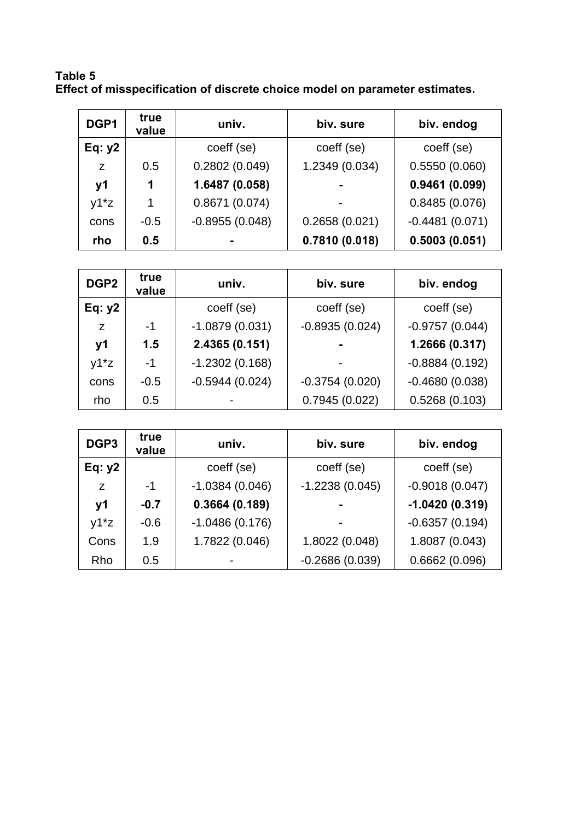**Table 5 Effect of misspecification of discrete choice model on parameter estimates.** 

| DGP1     | true<br>value | biv. sure<br>univ. |                | biv. endog       |
|----------|---------------|--------------------|----------------|------------------|
| Eq: $y2$ |               | coeff (se)         | coeff (se)     | coeff (se)       |
| z        | 0.5           | 0.2802(0.049)      | 1.2349 (0.034) | 0.5550(0.060)    |
| y1       | 1             | 1.6487 (0.058)     |                | 0.9461(0.099)    |
| $y1^*z$  | 1             | 0.8671(0.074)      |                | 0.8485(0.076)    |
| cons     | $-0.5$        | $-0.8955(0.048)$   | 0.2658(0.021)  | $-0.4481(0.071)$ |
| rho      | 0.5           |                    | 0.7810(0.018)  | 0.5003(0.051)    |

| DGP <sub>2</sub> | true<br>value | univ.            | biv. sure        | biv. endog       |
|------------------|---------------|------------------|------------------|------------------|
| Eq: $y2$         |               | coeff (se)       | coeff (se)       | coeff (se)       |
| Z                | $-1$          | $-1.0879(0.031)$ | $-0.8935(0.024)$ | $-0.9757(0.044)$ |
| <b>v1</b>        | 1.5           | 2.4365 (0.151)   | $\blacksquare$   | 1.2666 (0.317)   |
| $y1^*z$          | $-1$          | $-1.2302(0.168)$ |                  | $-0.8884(0.192)$ |
| cons             | $-0.5$        | $-0.5944(0.024)$ | $-0.3754(0.020)$ | $-0.4680(0.038)$ |
| rho              | 0.5           |                  | 0.7945(0.022)    | 0.5268(0.103)    |

| DGP <sub>3</sub> | true<br>value | biv. sure<br>univ. |                  | biv. endog       |
|------------------|---------------|--------------------|------------------|------------------|
| Eq: $y2$         |               | coeff (se)         | coeff (se)       | coeff (se)       |
| Z                | $-1$          | $-1.0384(0.046)$   | $-1.2238(0.045)$ | $-0.9018(0.047)$ |
| <b>y1</b>        | $-0.7$        | 0.3664(0.189)      |                  | $-1.0420(0.319)$ |
| $y1^*z$          | $-0.6$        | $-1.0486(0.176)$   | $\blacksquare$   | $-0.6357(0.194)$ |
| Cons             | 1.9           | 1.7822 (0.046)     | 1.8022 (0.048)   | 1.8087 (0.043)   |
| Rho              | 0.5           |                    | $-0.2686(0.039)$ | 0.6662(0.096)    |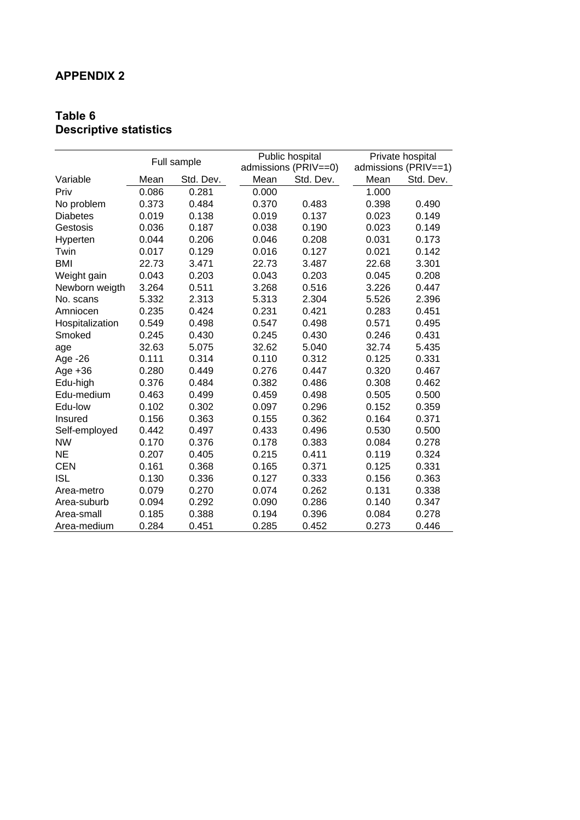## **APPENDIX 2**

### **Table 6 Descriptive statistics**

| Full sample     |       |           | Public hospital | Private hospital     |       |                      |
|-----------------|-------|-----------|-----------------|----------------------|-------|----------------------|
|                 |       |           |                 | admissions (PRIV==0) |       | admissions (PRIV==1) |
| Variable        | Mean  | Std. Dev. | Mean            | Std. Dev.            | Mean  | Std. Dev.            |
| Priv            | 0.086 | 0.281     | 0.000           |                      | 1.000 |                      |
| No problem      | 0.373 | 0.484     | 0.370           | 0.483                | 0.398 | 0.490                |
| <b>Diabetes</b> | 0.019 | 0.138     | 0.019           | 0.137                | 0.023 | 0.149                |
| Gestosis        | 0.036 | 0.187     | 0.038           | 0.190                | 0.023 | 0.149                |
| Hyperten        | 0.044 | 0.206     | 0.046           | 0.208                | 0.031 | 0.173                |
| Twin            | 0.017 | 0.129     | 0.016           | 0.127                | 0.021 | 0.142                |
| <b>BMI</b>      | 22.73 | 3.471     | 22.73           | 3.487                | 22.68 | 3.301                |
| Weight gain     | 0.043 | 0.203     | 0.043           | 0.203                | 0.045 | 0.208                |
| Newborn weigth  | 3.264 | 0.511     | 3.268           | 0.516                | 3.226 | 0.447                |
| No. scans       | 5.332 | 2.313     | 5.313           | 2.304                | 5.526 | 2.396                |
| Amniocen        | 0.235 | 0.424     | 0.231           | 0.421                | 0.283 | 0.451                |
| Hospitalization | 0.549 | 0.498     | 0.547           | 0.498                | 0.571 | 0.495                |
| Smoked          | 0.245 | 0.430     | 0.245           | 0.430                | 0.246 | 0.431                |
| age             | 32.63 | 5.075     | 32.62           | 5.040                | 32.74 | 5.435                |
| Age -26         | 0.111 | 0.314     | 0.110           | 0.312                | 0.125 | 0.331                |
| Age $+36$       | 0.280 | 0.449     | 0.276           | 0.447                | 0.320 | 0.467                |
| Edu-high        | 0.376 | 0.484     | 0.382           | 0.486                | 0.308 | 0.462                |
| Edu-medium      | 0.463 | 0.499     | 0.459           | 0.498                | 0.505 | 0.500                |
| Edu-low         | 0.102 | 0.302     | 0.097           | 0.296                | 0.152 | 0.359                |
| Insured         | 0.156 | 0.363     | 0.155           | 0.362                | 0.164 | 0.371                |
| Self-employed   | 0.442 | 0.497     | 0.433           | 0.496                | 0.530 | 0.500                |
| <b>NW</b>       | 0.170 | 0.376     | 0.178           | 0.383                | 0.084 | 0.278                |
| <b>NE</b>       | 0.207 | 0.405     | 0.215           | 0.411                | 0.119 | 0.324                |
| <b>CEN</b>      | 0.161 | 0.368     | 0.165           | 0.371                | 0.125 | 0.331                |
| <b>ISL</b>      | 0.130 | 0.336     | 0.127           | 0.333                | 0.156 | 0.363                |
| Area-metro      | 0.079 | 0.270     | 0.074           | 0.262                | 0.131 | 0.338                |
| Area-suburb     | 0.094 | 0.292     | 0.090           | 0.286                | 0.140 | 0.347                |
| Area-small      | 0.185 | 0.388     | 0.194           | 0.396                | 0.084 | 0.278                |
| Area-medium     | 0.284 | 0.451     | 0.285           | 0.452                | 0.273 | 0.446                |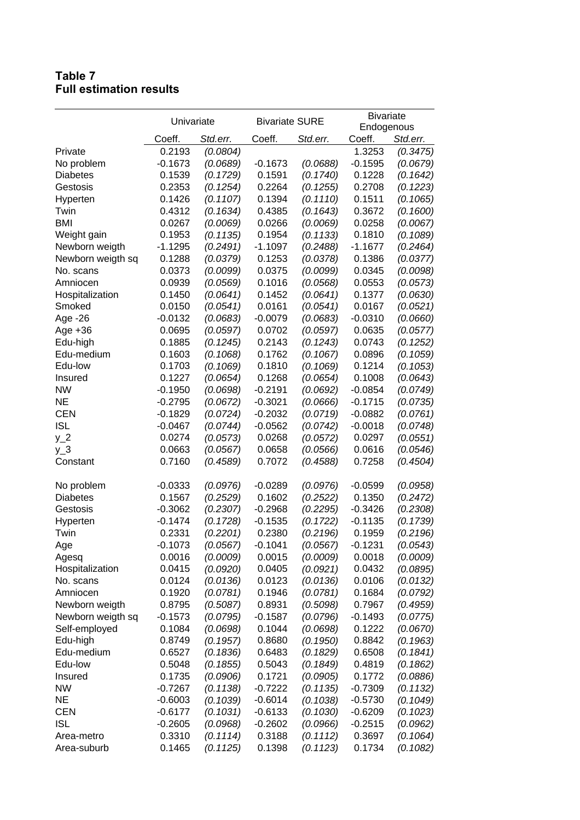### **Table 7 Full estimation results**

|                   | Univariate |          | <b>Bivariate SURE</b> |          | <b>Bivariate</b> |          |
|-------------------|------------|----------|-----------------------|----------|------------------|----------|
|                   |            |          |                       |          | Endogenous       |          |
|                   | Coeff.     | Std.err. | Coeff.                | Std.err. | Coeff.           | Std.err. |
| Private           | 0.2193     | (0.0804) |                       |          | 1.3253           | (0.3475) |
| No problem        | $-0.1673$  | (0.0689) | $-0.1673$             | (0.0688) | $-0.1595$        | (0.0679) |
| <b>Diabetes</b>   | 0.1539     | (0.1729) | 0.1591                | (0.1740) | 0.1228           | (0.1642) |
| Gestosis          | 0.2353     | (0.1254) | 0.2264                | (0.1255) | 0.2708           | (0.1223) |
| Hyperten          | 0.1426     | (0.1107) | 0.1394                | (0.1110) | 0.1511           | (0.1065) |
| Twin              | 0.4312     | (0.1634) | 0.4385                | (0.1643) | 0.3672           | (0.1600) |
| <b>BMI</b>        | 0.0267     | (0.0069) | 0.0266                | (0.0069) | 0.0258           | (0.0067) |
| Weight gain       | 0.1953     | (0.1135) | 0.1954                | (0.1133) | 0.1810           | (0.1089) |
| Newborn weigth    | $-1.1295$  | (0.2491) | $-1.1097$             | (0.2488) | $-1.1677$        | (0.2464) |
| Newborn weigth sq | 0.1288     | (0.0379) | 0.1253                | (0.0378) | 0.1386           | (0.0377) |
| No. scans         | 0.0373     | (0.0099) | 0.0375                | (0.0099) | 0.0345           | (0.0098) |
| Amniocen          | 0.0939     | (0.0569) | 0.1016                | (0.0568) | 0.0553           | (0.0573) |
| Hospitalization   | 0.1450     | (0.0641) | 0.1452                | (0.0641) | 0.1377           | (0.0630) |
| Smoked            | 0.0150     | (0.0541) | 0.0161                | (0.0541) | 0.0167           | (0.0521) |
| Age -26           | $-0.0132$  | (0.0683) | $-0.0079$             | (0.0683) | $-0.0310$        | (0.0660) |
| Age +36           | 0.0695     | (0.0597) | 0.0702                | (0.0597) | 0.0635           | (0.0577) |
| Edu-high          | 0.1885     | (0.1245) | 0.2143                | (0.1243) | 0.0743           | (0.1252) |
| Edu-medium        | 0.1603     | (0.1068) | 0.1762                | (0.1067) | 0.0896           | (0.1059) |
| Edu-low           | 0.1703     | (0.1069) | 0.1810                | (0.1069) | 0.1214           | (0.1053) |
| Insured           | 0.1227     | (0.0654) | 0.1268                | (0.0654) | 0.1008           | (0.0643) |
| <b>NW</b>         | $-0.1950$  | (0.0698) | $-0.2191$             | (0.0692) | $-0.0854$        | (0.0749) |
| <b>NE</b>         | $-0.2795$  | (0.0672) | $-0.3021$             | (0.0666) | $-0.1715$        | (0.0735) |
| <b>CEN</b>        | $-0.1829$  | (0.0724) | $-0.2032$             | (0.0719) | $-0.0882$        | (0.0761) |
| <b>ISL</b>        | $-0.0467$  | (0.0744) | $-0.0562$             | (0.0742) | $-0.0018$        | (0.0748) |
| $y_2$             | 0.0274     | (0.0573) | 0.0268                | (0.0572) | 0.0297           | (0.0551) |
| $y_3$             | 0.0663     | (0.0567) | 0.0658                | (0.0566) | 0.0616           | (0.0546) |
| Constant          | 0.7160     | (0.4589) | 0.7072                | (0.4588) | 0.7258           | (0.4504) |
|                   |            |          |                       |          |                  |          |
| No problem        | $-0.0333$  | (0.0976) | $-0.0289$             | (0.0976) | $-0.0599$        | (0.0958) |
| <b>Diabetes</b>   | 0.1567     | (0.2529) | 0.1602                | (0.2522) | 0.1350           | (0.2472) |
| Gestosis          | $-0.3062$  | (0.2307) | $-0.2968$             | (0.2295) | $-0.3426$        | (0.2308) |
| Hyperten          | $-0.1474$  | (0.1728) | $-0.1535$             | (0.1722) | $-0.1135$        | (0.1739) |
| Twin              | 0.2331     | (0.2201) | 0.2380                | (0.2196) | 0.1959           | (0.2196) |
| Age               | $-0.1073$  | (0.0567) | $-0.1041$             | (0.0567) | $-0.1231$        | (0.0543) |
| Agesq             | 0.0016     | (0.0009) | 0.0015                | (0.0009) | 0.0018           | (0.0009) |
| Hospitalization   | 0.0415     | (0.0920) | 0.0405                | (0.0921) | 0.0432           | (0.0895) |
| No. scans         | 0.0124     | (0.0136) | 0.0123                | (0.0136) | 0.0106           | (0.0132) |
| Amniocen          | 0.1920     | (0.0781) | 0.1946                | (0.0781) | 0.1684           | (0.0792) |
| Newborn weigth    | 0.8795     | (0.5087) | 0.8931                | (0.5098) | 0.7967           | (0.4959) |
| Newborn weigth sq | $-0.1573$  | (0.0795) | $-0.1587$             | (0.0796) | $-0.1493$        | (0.0775) |
| Self-employed     | 0.1084     | (0.0698) | 0.1044                | (0.0698) | 0.1222           | (0.0670) |
| Edu-high          | 0.8749     | (0.1957) | 0.8680                | (0.1950) | 0.8842           | (0.1963) |
| Edu-medium        | 0.6527     | (0.1836) | 0.6483                | (0.1829) | 0.6508           | (0.1841) |
| Edu-low           | 0.5048     | (0.1855) | 0.5043                | (0.1849) | 0.4819           | (0.1862) |
| Insured           | 0.1735     | (0.0906) | 0.1721                | (0.0905) | 0.1772           | (0.0886) |
| <b>NW</b>         | $-0.7267$  | (0.1138) | $-0.7222$             | (0.1135) | $-0.7309$        | (0.1132) |
| <b>NE</b>         | $-0.6003$  | (0.1039) | $-0.6014$             | (0.1038) | $-0.5730$        | (0.1049) |
| <b>CEN</b>        | $-0.6177$  | (0.1031) | $-0.6133$             | (0.1030) | $-0.6209$        | (0.1023) |
| <b>ISL</b>        | $-0.2605$  | (0.0968) | $-0.2602$             | (0.0966) | $-0.2515$        | (0.0962) |
| Area-metro        | 0.3310     | (0.1114) | 0.3188                | (0.1112) | 0.3697           | (0.1064) |
| Area-suburb       | 0.1465     | (0.1125) | 0.1398                | (0.1123) | 0.1734           | (0.1082) |
|                   |            |          |                       |          |                  |          |